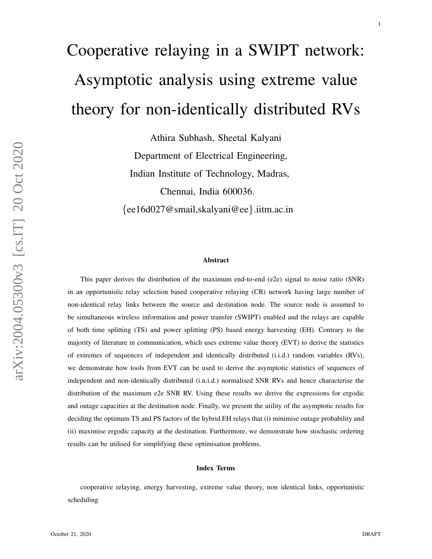# Cooperative relaying in a SWIPT network: Asymptotic analysis using extreme value theory for non-identically distributed RVs

Athira Subhash, Sheetal Kalyani Department of Electrical Engineering, Indian Institute of Technology, Madras, Chennai, India 600036. {ee16d027@smail,skalyani@ee }.iitm.ac.in

#### Abstract

This paper derives the distribution of the maximum end-to-end (e2e) signal to noise ratio (SNR) in an opportunistic relay selection based cooperative relaying (CR) network having large number of non-identical relay links between the source and destination node. The source node is assumed to be simultaneous wireless information and power transfer (SWIPT) enabled and the relays are capable of both time splitting (TS) and power splitting (PS) based energy harvesting (EH). Contrary to the majority of literature in communication, which uses extreme value theory (EVT) to derive the statistics of extremes of sequences of independent and identically distributed (i.i.d.) random variables (RVs), we demonstrate how tools from EVT can be used to derive the asymptotic statistics of sequences of independent and non-identically distributed (i.n.i.d.) normalised SNR RVs and hence characterise the distribution of the maximum e2e SNR RV. Using these results we derive the expressions for ergodic and outage capacities at the destination node. Finally, we present the utility of the asymptotic results for deciding the optimum TS and PS factors of the hybrid EH relays that (i) minimise outage probability and (ii) maximise ergodic capacity at the destination. Furthermore, we demonstrate how stochastic ordering results can be utilised for simplifying these optimisation problems.

#### Index Terms

cooperative relaying, energy harvesting, extreme value theory, non identical links, opportunistic scheduling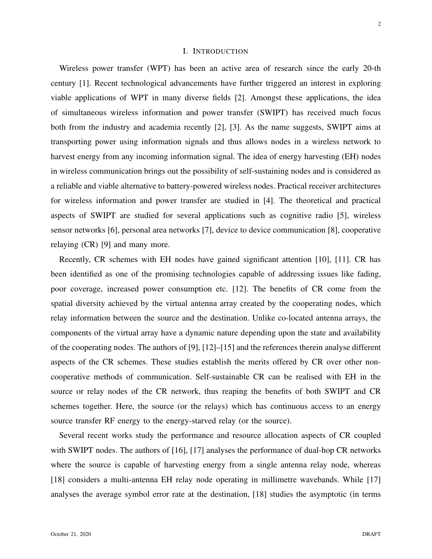# I. INTRODUCTION

Wireless power transfer (WPT) has been an active area of research since the early 20-th century [1]. Recent technological advancements have further triggered an interest in exploring viable applications of WPT in many diverse fields [2]. Amongst these applications, the idea of simultaneous wireless information and power transfer (SWIPT) has received much focus both from the industry and academia recently [2], [3]. As the name suggests, SWIPT aims at transporting power using information signals and thus allows nodes in a wireless network to harvest energy from any incoming information signal. The idea of energy harvesting (EH) nodes in wireless communication brings out the possibility of self-sustaining nodes and is considered as a reliable and viable alternative to battery-powered wireless nodes. Practical receiver architectures for wireless information and power transfer are studied in [4]. The theoretical and practical aspects of SWIPT are studied for several applications such as cognitive radio [5], wireless sensor networks [6], personal area networks [7], device to device communication [8], cooperative relaying (CR) [9] and many more.

Recently, CR schemes with EH nodes have gained significant attention [10], [11]. CR has been identified as one of the promising technologies capable of addressing issues like fading, poor coverage, increased power consumption etc. [12]. The benefits of CR come from the spatial diversity achieved by the virtual antenna array created by the cooperating nodes, which relay information between the source and the destination. Unlike co-located antenna arrays, the components of the virtual array have a dynamic nature depending upon the state and availability of the cooperating nodes. The authors of [9], [12]–[15] and the references therein analyse different aspects of the CR schemes. These studies establish the merits offered by CR over other noncooperative methods of communication. Self-sustainable CR can be realised with EH in the source or relay nodes of the CR network, thus reaping the benefits of both SWIPT and CR schemes together. Here, the source (or the relays) which has continuous access to an energy source transfer RF energy to the energy-starved relay (or the source).

Several recent works study the performance and resource allocation aspects of CR coupled with SWIPT nodes. The authors of [16], [17] analyses the performance of dual-hop CR networks where the source is capable of harvesting energy from a single antenna relay node, whereas [18] considers a multi-antenna EH relay node operating in millimetre wavebands. While [17] analyses the average symbol error rate at the destination, [18] studies the asymptotic (in terms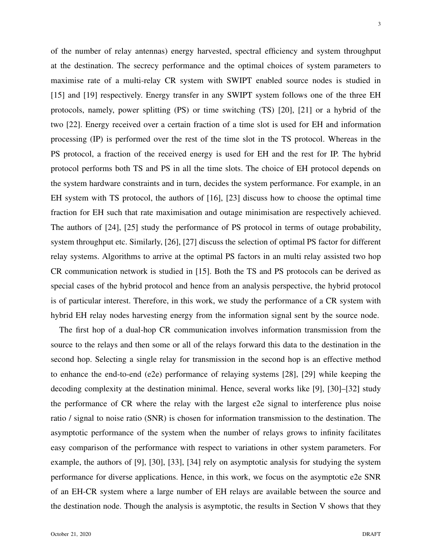of the number of relay antennas) energy harvested, spectral efficiency and system throughput at the destination. The secrecy performance and the optimal choices of system parameters to maximise rate of a multi-relay CR system with SWIPT enabled source nodes is studied in [15] and [19] respectively. Energy transfer in any SWIPT system follows one of the three EH protocols, namely, power splitting (PS) or time switching (TS) [20], [21] or a hybrid of the two [22]. Energy received over a certain fraction of a time slot is used for EH and information processing (IP) is performed over the rest of the time slot in the TS protocol. Whereas in the PS protocol, a fraction of the received energy is used for EH and the rest for IP. The hybrid protocol performs both TS and PS in all the time slots. The choice of EH protocol depends on the system hardware constraints and in turn, decides the system performance. For example, in an EH system with TS protocol, the authors of [16], [23] discuss how to choose the optimal time fraction for EH such that rate maximisation and outage minimisation are respectively achieved. The authors of [24], [25] study the performance of PS protocol in terms of outage probability, system throughput etc. Similarly, [26], [27] discuss the selection of optimal PS factor for different relay systems. Algorithms to arrive at the optimal PS factors in an multi relay assisted two hop CR communication network is studied in [15]. Both the TS and PS protocols can be derived as special cases of the hybrid protocol and hence from an analysis perspective, the hybrid protocol is of particular interest. Therefore, in this work, we study the performance of a CR system with hybrid EH relay nodes harvesting energy from the information signal sent by the source node.

The first hop of a dual-hop CR communication involves information transmission from the source to the relays and then some or all of the relays forward this data to the destination in the second hop. Selecting a single relay for transmission in the second hop is an effective method to enhance the end-to-end (e2e) performance of relaying systems [28], [29] while keeping the decoding complexity at the destination minimal. Hence, several works like [9], [30]–[32] study the performance of CR where the relay with the largest e2e signal to interference plus noise ratio / signal to noise ratio (SNR) is chosen for information transmission to the destination. The asymptotic performance of the system when the number of relays grows to infinity facilitates easy comparison of the performance with respect to variations in other system parameters. For example, the authors of [9], [30], [33], [34] rely on asymptotic analysis for studying the system performance for diverse applications. Hence, in this work, we focus on the asymptotic e2e SNR of an EH-CR system where a large number of EH relays are available between the source and the destination node. Though the analysis is asymptotic, the results in Section V shows that they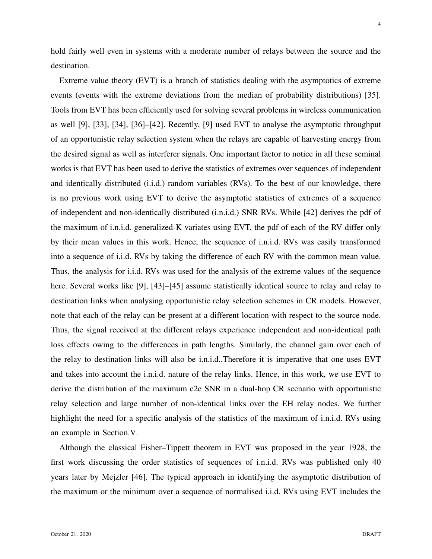hold fairly well even in systems with a moderate number of relays between the source and the destination.

Extreme value theory (EVT) is a branch of statistics dealing with the asymptotics of extreme events (events with the extreme deviations from the median of probability distributions) [35]. Tools from EVT has been efficiently used for solving several problems in wireless communication as well [9], [33], [34], [36]–[42]. Recently, [9] used EVT to analyse the asymptotic throughput of an opportunistic relay selection system when the relays are capable of harvesting energy from the desired signal as well as interferer signals. One important factor to notice in all these seminal works is that EVT has been used to derive the statistics of extremes over sequences of independent and identically distributed (i.i.d.) random variables (RVs). To the best of our knowledge, there is no previous work using EVT to derive the asymptotic statistics of extremes of a sequence of independent and non-identically distributed (i.n.i.d.) SNR RVs. While [42] derives the pdf of the maximum of i.n.i.d. generalized-K variates using EVT, the pdf of each of the RV differ only by their mean values in this work. Hence, the sequence of i.n.i.d. RVs was easily transformed into a sequence of i.i.d. RVs by taking the difference of each RV with the common mean value. Thus, the analysis for i.i.d. RVs was used for the analysis of the extreme values of the sequence here. Several works like [9], [43]–[45] assume statistically identical source to relay and relay to destination links when analysing opportunistic relay selection schemes in CR models. However, note that each of the relay can be present at a different location with respect to the source node. Thus, the signal received at the different relays experience independent and non-identical path loss effects owing to the differences in path lengths. Similarly, the channel gain over each of the relay to destination links will also be i.n.i.d..Therefore it is imperative that one uses EVT and takes into account the i.n.i.d. nature of the relay links. Hence, in this work, we use EVT to derive the distribution of the maximum e2e SNR in a dual-hop CR scenario with opportunistic relay selection and large number of non-identical links over the EH relay nodes. We further highlight the need for a specific analysis of the statistics of the maximum of i.n.i.d. RVs using an example in Section.V.

Although the classical Fisher–Tippett theorem in EVT was proposed in the year 1928, the first work discussing the order statistics of sequences of i.n.i.d. RVs was published only 40 years later by Mejzler [46]. The typical approach in identifying the asymptotic distribution of the maximum or the minimum over a sequence of normalised i.i.d. RVs using EVT includes the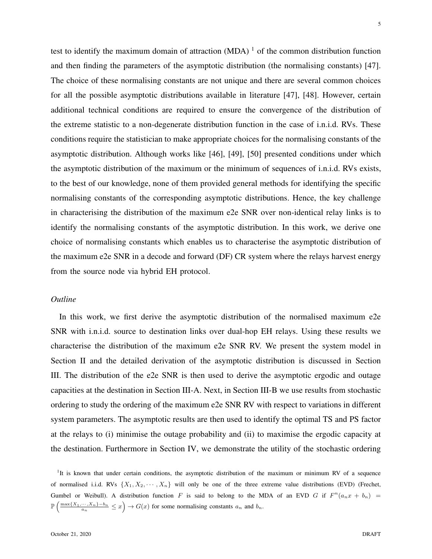test to identify the maximum domain of attraction  $(MDA)^{-1}$  of the common distribution function and then finding the parameters of the asymptotic distribution (the normalising constants) [47]. The choice of these normalising constants are not unique and there are several common choices for all the possible asymptotic distributions available in literature [47], [48]. However, certain additional technical conditions are required to ensure the convergence of the distribution of the extreme statistic to a non-degenerate distribution function in the case of i.n.i.d. RVs. These conditions require the statistician to make appropriate choices for the normalising constants of the asymptotic distribution. Although works like [46], [49], [50] presented conditions under which the asymptotic distribution of the maximum or the minimum of sequences of i.n.i.d. RVs exists, to the best of our knowledge, none of them provided general methods for identifying the specific normalising constants of the corresponding asymptotic distributions. Hence, the key challenge in characterising the distribution of the maximum e2e SNR over non-identical relay links is to identify the normalising constants of the asymptotic distribution. In this work, we derive one choice of normalising constants which enables us to characterise the asymptotic distribution of the maximum e2e SNR in a decode and forward (DF) CR system where the relays harvest energy from the source node via hybrid EH protocol.

## *Outline*

In this work, we first derive the asymptotic distribution of the normalised maximum e2e SNR with i.n.i.d. source to destination links over dual-hop EH relays. Using these results we characterise the distribution of the maximum e2e SNR RV. We present the system model in Section II and the detailed derivation of the asymptotic distribution is discussed in Section III. The distribution of the e2e SNR is then used to derive the asymptotic ergodic and outage capacities at the destination in Section III-A. Next, in Section III-B we use results from stochastic ordering to study the ordering of the maximum e2e SNR RV with respect to variations in different system parameters. The asymptotic results are then used to identify the optimal TS and PS factor at the relays to (i) minimise the outage probability and (ii) to maximise the ergodic capacity at the destination. Furthermore in Section IV, we demonstrate the utility of the stochastic ordering

<sup>1</sup>It is known that under certain conditions, the asymptotic distribution of the maximum or minimum RV of a sequence of normalised i.i.d. RVs  $\{X_1, X_2, \dots, X_n\}$  will only be one of the three extreme value distributions (EVD) (Frechet, Gumbel or Weibull). A distribution function F is said to belong to the MDA of an EVD G if  $F^n(a_nx + b_n)$  $\mathbb{P}\left(\frac{\max\{X_1,\dots,X_n\}-b_n}{a_n}\leq x\right)\to G(x)$  for some normalising constants  $a_n$  and  $b_n$ .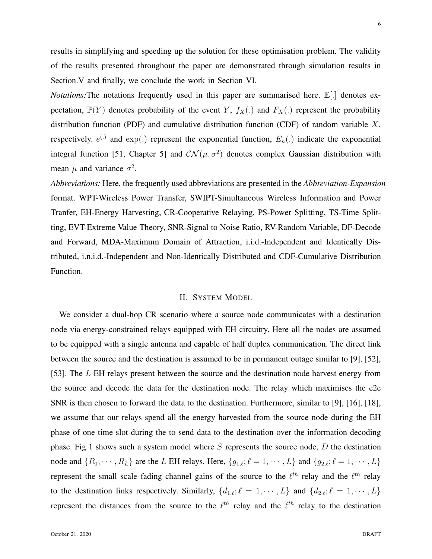results in simplifying and speeding up the solution for these optimisation problem. The validity of the results presented throughout the paper are demonstrated through simulation results in Section.V and finally, we conclude the work in Section VI.

*Notations:* The notations frequently used in this paper are summarised here.  $\mathbb{E}[\cdot]$  denotes expectation,  $\mathbb{P}(Y)$  denotes probability of the event Y,  $f_X(.)$  and  $F_X(.)$  represent the probability distribution function (PDF) and cumulative distribution function (CDF) of random variable  $X$ , respectively.  $e^{(.)}$  and  $\exp(.)$  represent the exponential function,  $E_n(.)$  indicate the exponential integral function [51, Chapter 5] and  $CN(\mu, \sigma^2)$  denotes complex Gaussian distribution with mean  $\mu$  and variance  $\sigma^2$ .

*Abbreviations:* Here, the frequently used abbreviations are presented in the *Abbreviation-Expansion* format. WPT-Wireless Power Transfer, SWIPT-Simultaneous Wireless Information and Power Tranfer, EH-Energy Harvesting, CR-Cooperative Relaying, PS-Power Splitting, TS-Time Splitting, EVT-Extreme Value Theory, SNR-Signal to Noise Ratio, RV-Random Variable, DF-Decode and Forward, MDA-Maximum Domain of Attraction, i.i.d.-Independent and Identically Distributed, i.n.i.d.-Independent and Non-Identically Distributed and CDF-Cumulative Distribution Function.

## II. SYSTEM MODEL

We consider a dual-hop CR scenario where a source node communicates with a destination node via energy-constrained relays equipped with EH circuitry. Here all the nodes are assumed to be equipped with a single antenna and capable of half duplex communication. The direct link between the source and the destination is assumed to be in permanent outage similar to [9], [52], [53]. The L EH relays present between the source and the destination node harvest energy from the source and decode the data for the destination node. The relay which maximises the e2e SNR is then chosen to forward the data to the destination. Furthermore, similar to [9], [16], [18], we assume that our relays spend all the energy harvested from the source node during the EH phase of one time slot during the to send data to the destination over the information decoding phase. Fig 1 shows such a system model where  $S$  represents the source node,  $D$  the destination node and  $\{R_1, \dots, R_L\}$  are the L EH relays. Here,  $\{g_{1,\ell}; \ell = 1, \dots, L\}$  and  $\{g_{2,\ell}; \ell = 1, \dots, L\}$ represent the small scale fading channel gains of the source to the  $\ell^{th}$  relay and the  $\ell^{th}$  relay to the destination links respectively. Similarly,  $\{d_{1,\ell}; \ell = 1, \dots, L\}$  and  $\{d_{2,\ell}; \ell = 1, \dots, L\}$ represent the distances from the source to the  $\ell^{th}$  relay and the  $\ell^{th}$  relay to the destination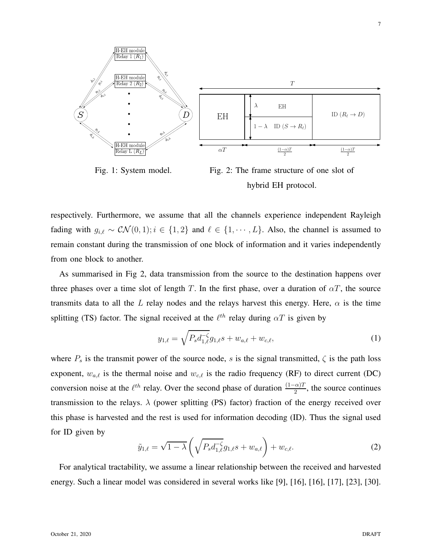

Fig. 1: System model.

Fig. 2: The frame structure of one slot of hybrid EH protocol.

respectively. Furthermore, we assume that all the channels experience independent Rayleigh fading with  $g_{i,\ell} \sim \mathcal{CN}(0,1); i \in \{1,2\}$  and  $\ell \in \{1,\dots,L\}$ . Also, the channel is assumed to remain constant during the transmission of one block of information and it varies independently from one block to another.

As summarised in Fig 2, data transmission from the source to the destination happens over three phases over a time slot of length T. In the first phase, over a duration of  $\alpha T$ , the source transmits data to all the L relay nodes and the relays harvest this energy. Here,  $\alpha$  is the time splitting (TS) factor. The signal received at the  $\ell^{th}$  relay during  $\alpha T$  is given by

$$
y_{1,\ell} = \sqrt{P_s d_{1,\ell}^{-\zeta}} g_{1,\ell} s + w_{a,\ell} + w_{c,\ell},
$$
\n(1)

where  $P_s$  is the transmit power of the source node, s is the signal transmitted,  $\zeta$  is the path loss exponent,  $w_{a,\ell}$  is the thermal noise and  $w_{c,\ell}$  is the radio frequency (RF) to direct current (DC) conversion noise at the  $\ell^{th}$  relay. Over the second phase of duration  $\frac{(1-\alpha)T}{2}$ , the source continues transmission to the relays.  $\lambda$  (power splitting (PS) factor) fraction of the energy received over this phase is harvested and the rest is used for information decoding (ID). Thus the signal used for ID given by

$$
\tilde{y}_{1,\ell} = \sqrt{1 - \lambda} \left( \sqrt{P_s d_{1,\ell}^{-\zeta}} g_{1,\ell} s + w_{a,\ell} \right) + w_{c,\ell}.
$$
 (2)

For analytical tractability, we assume a linear relationship between the received and harvested energy. Such a linear model was considered in several works like [9], [16], [16], [17], [23], [30].

7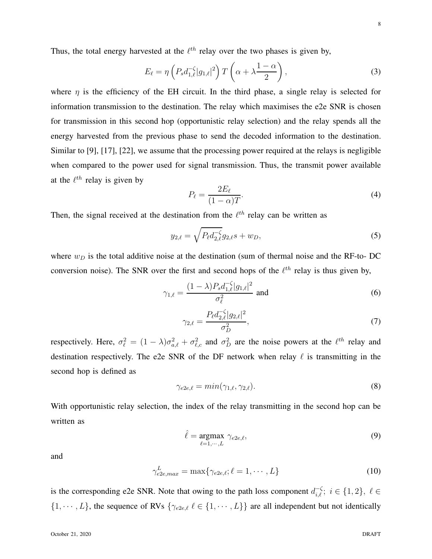8

Thus, the total energy harvested at the  $\ell^{th}$  relay over the two phases is given by,

$$
E_{\ell} = \eta \left( P_s d_{1,\ell}^{-\zeta} |g_{1,\ell}|^2 \right) T \left( \alpha + \lambda \frac{1-\alpha}{2} \right), \tag{3}
$$

where  $\eta$  is the efficiency of the EH circuit. In the third phase, a single relay is selected for information transmission to the destination. The relay which maximises the e2e SNR is chosen for transmission in this second hop (opportunistic relay selection) and the relay spends all the energy harvested from the previous phase to send the decoded information to the destination. Similar to [9], [17], [22], we assume that the processing power required at the relays is negligible when compared to the power used for signal transmission. Thus, the transmit power available at the  $\ell^{th}$  relay is given by

$$
P_{\ell} = \frac{2E_{\ell}}{(1 - \alpha)T}.
$$
\n(4)

Then, the signal received at the destination from the  $\ell^{th}$  relay can be written as

$$
y_{2,\ell} = \sqrt{P_{\ell} d_{2,\ell}^{-\zeta}} g_{2,\ell} s + w_D,
$$
\n(5)

where  $w_D$  is the total additive noise at the destination (sum of thermal noise and the RF-to- DC conversion noise). The SNR over the first and second hops of the  $\ell^{th}$  relay is thus given by,

$$
\gamma_{1,\ell} = \frac{(1 - \lambda) P_s d_{1,\ell}^{-\zeta} |g_{1,\ell}|^2}{\sigma_{\ell}^2} \text{ and } (6)
$$

$$
\gamma_{2,\ell} = \frac{P_{\ell} d_{2,\ell}^{-\zeta} |g_{2,\ell}|^2}{\sigma_D^2},\tag{7}
$$

respectively. Here,  $\sigma_{\ell}^2 = (1 - \lambda)\sigma_{a,\ell}^2 + \sigma_{\ell,c}^2$  and  $\sigma_D^2$  are the noise powers at the  $\ell^{th}$  relay and destination respectively. The e2e SNR of the DF network when relay  $\ell$  is transmitting in the second hop is defined as

$$
\gamma_{e2e,\ell} = \min(\gamma_{1,\ell}, \gamma_{2,\ell}).\tag{8}
$$

With opportunistic relay selection, the index of the relay transmitting in the second hop can be written as

$$
\hat{\ell} = \underset{\ell=1,\cdots,L}{\text{argmax}} \gamma_{e2e,\ell},\tag{9}
$$

and

$$
\gamma_{e2e,max}^L = \max\{\gamma_{e2e,\ell}; \ell = 1, \cdots, L\}
$$
\n(10)

is the corresponding e2e SNR. Note that owing to the path loss component  $d_{i,\ell}^{-\zeta}$ ;  $i \in \{1,2\}, \ell \in$  $\{1, \dots, L\}$ , the sequence of RVs  $\{\gamma_{e2e,\ell} \ell \in \{1, \dots, L\}\}\$  are all independent but not identically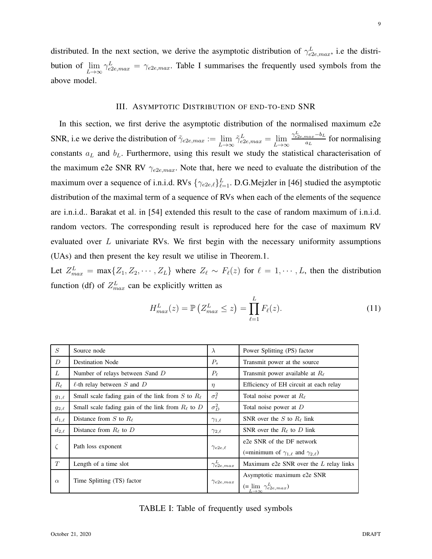distributed. In the next section, we derive the asymptotic distribution of  $\gamma_{e2e,max}^L$ , i.e the distribution of  $\lim_{L\to\infty} \gamma_{e2e,max}^L = \gamma_{e2e,max}$ . Table I summarises the frequently used symbols from the above model.

#### III. ASYMPTOTIC DISTRIBUTION OF END-TO-END SNR

In this section, we first derive the asymptotic distribution of the normalised maximum e2e SNR, i.e we derive the distribution of  $\tilde{\gamma}_{e2e,max} := \lim_{L \to \infty} \tilde{\gamma}_{e2e,max}^L = \lim_{L \to \infty}$  $\gamma^L_{e2e,max}$  — $b_L$  $\frac{max - \sigma_L}{a_L}$  for normalising constants  $a_L$  and  $b_L$ . Furthermore, using this result we study the statistical characterisation of the maximum e2e SNR RV  $\gamma_{e2e,max}$ . Note that, here we need to evaluate the distribution of the maximum over a sequence of i.n.i.d. RVs  $\{\gamma_{e2e,\ell}\}_{\ell=1}^L$ . D.G.Mejzler in [46] studied the asymptotic distribution of the maximal term of a sequence of RVs when each of the elements of the sequence are i.n.i.d.. Barakat et al. in [54] extended this result to the case of random maximum of i.n.i.d. random vectors. The corresponding result is reproduced here for the case of maximum RV evaluated over  $L$  univariate RVs. We first begin with the necessary uniformity assumptions (UAs) and then present the key result we utilise in Theorem.1.

Let  $Z_{max}^L = \max\{Z_1, Z_2, \cdots, Z_L\}$  where  $Z_\ell \sim F_\ell(z)$  for  $\ell = 1, \cdots, L$ , then the distribution function (df) of  $Z_{max}^L$  can be explicitly written as

$$
H_{max}^L(z) = \mathbb{P}\left(Z_{max}^L \le z\right) = \prod_{\ell=1}^L F_\ell(z). \tag{11}
$$

| S            | Source node                                                | $\lambda$            | Power Splitting (PS) factor                            |
|--------------|------------------------------------------------------------|----------------------|--------------------------------------------------------|
| D            | <b>Destination Node</b>                                    | $P_{s}$              | Transmit power at the source                           |
| L            | Number of relays between Sand D                            | $P_{\ell}$           | Transmit power available at $R_{\ell}$                 |
| $R_{\ell}$   | $\ell$ -th relay between S and D                           | $\eta$               | Efficiency of EH circuit at each relay                 |
| $g_{1,\ell}$ | Small scale fading gain of the link from $S$ to $R_{\ell}$ | $\sigma_{\ell}^2$    | Total noise power at $R_{\ell}$                        |
| $g_{2,\ell}$ | Small scale fading gain of the link from $R_{\ell}$ to D   | $\sigma_D^2$         | Total noise power at $D$                               |
| $d_{1,\ell}$ | Distance from S to $R_{\ell}$                              | $\gamma_{1,\ell}$    | SNR over the S to $R_\ell$ link                        |
| $d_{2,\ell}$ | Distance from $R_{\ell}$ to D                              | $\gamma_{2,\ell}$    | SNR over the $R_{\ell}$ to D link                      |
| $\zeta$      | Path loss exponent                                         | $\gamma_{e2e,\ell}$  | e <sub>2</sub> e SNR of the DF network                 |
|              |                                                            |                      | (=minimum of $\gamma_{1,\ell}$ and $\gamma_{2,\ell}$ ) |
| T            | Length of a time slot                                      | $\gamma^L_{e2e,max}$ | Maximum e2e SNR over the L relay links                 |
| $\alpha$     | Time Splitting (TS) factor                                 | $\gamma_{e2e,max}$   | Asymptotic maximum e2e SNR                             |
|              |                                                            |                      | $(=\lim_{L\to\infty}\gamma_{e2e,max}^L)$               |

| TABLE I: Table of frequently used symbols |  |
|-------------------------------------------|--|
|-------------------------------------------|--|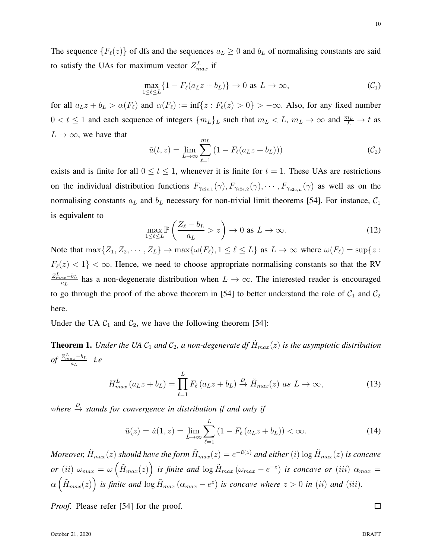The sequence  ${F_{\ell}(z)}$  of dfs and the sequences  $a_L \geq 0$  and  $b_L$  of normalising constants are said to satisfy the UAs for maximum vector  $Z_{max}^L$  if

$$
\max_{1 \le \ell \le L} \{ 1 - F_{\ell}(a_L z + b_L) \} \to 0 \text{ as } L \to \infty,
$$
\n(C<sub>1</sub>)

for all  $a_L z + b_L > \alpha(F_\ell)$  and  $\alpha(F_\ell) := \inf\{z : F_\ell(z) > 0\} > -\infty$ . Also, for any fixed number  $0 < t \leq 1$  and each sequence of integers  $\{m_L\}_L$  such that  $m_L < L$ ,  $m_L \to \infty$  and  $\frac{m_L}{L} \to t$  as  $L \to \infty$ , we have that

$$
\tilde{u}(t,z) = \lim_{L \to \infty} \sum_{\ell=1}^{m_L} (1 - F_{\ell}(a_L z + b_L)))
$$
\n(C\_2)

exists and is finite for all  $0 \le t \le 1$ , whenever it is finite for  $t = 1$ . These UAs are restrictions on the individual distribution functions  $F_{\gamma_{e2e,1}}(\gamma)$ ,  $F_{\gamma_{e2e,2}}(\gamma)$ ,  $\cdots$ ,  $F_{\gamma_{e2e,L}}(\gamma)$  as well as on the normalising constants  $a_L$  and  $b_L$  necessary for non-trivial limit theorems [54]. For instance,  $C_1$ is equivalent to

$$
\max_{1 \le \ell \le L} \mathbb{P}\left(\frac{Z_{\ell} - b_L}{a_L} > z\right) \to 0 \text{ as } L \to \infty.
$$
 (12)

Note that  $\max\{Z_1, Z_2, \cdots, Z_L\} \to \max\{\omega(F_\ell), 1 \leq \ell \leq L\}$  as  $L \to \infty$  where  $\omega(F_\ell) = \sup\{z :$  $F_{\ell}(z) < 1$ } <  $\infty$ . Hence, we need to choose appropriate normalising constants so that the RV  $Z_{max}^L-b_L$  $\frac{ax^{-b_L}}{a_L}$  has a non-degenerate distribution when  $L \to \infty$ . The interested reader is encouraged to go through the proof of the above theorem in [54] to better understand the role of  $C_1$  and  $C_2$ here.

Under the UA  $C_1$  and  $C_2$ , we have the following theorem [54]:

**Theorem 1.** *Under the UA*  $C_1$  *and*  $C_2$ *, a non-degenerate df*  $\tilde{H}_{max}(z)$  *is the asymptotic distribution*  $of \frac{Z_{max}^L - b_L}{a_L}$  $\frac{ax-b_L}{a_L}$  *i.e* 

$$
H_{max}^{L}(a_L z + b_L) = \prod_{\ell=1}^{L} F_{\ell}(a_L z + b_L) \xrightarrow{D} \tilde{H}_{max}(z) \text{ as } L \to \infty,
$$
 (13)

 $where <sup>D</sup>$  *stands for convergence in distribution if and only if* 

$$
\tilde{u}(z) = \tilde{u}(1, z) = \lim_{L \to \infty} \sum_{\ell=1}^{L} (1 - F_{\ell}(a_L z + b_L)) < \infty. \tag{14}
$$

 $Moreover, \, \tilde H_{max}(z)$  should have the form  $\tilde H_{max}(z)=e^{-\tilde u(z)}$  and either  $(i)$   $\log \tilde H_{max}(z)$  is concave  $or$   $(ii)$   $\omega_{max} = \omega\left(\tilde{H}_{max}(z)\right)$  *is finite and*  $\log \tilde{H}_{max}(\omega_{max} - e^{-z})$  *is concave or*  $(iii)$   $\alpha_{max} =$  $\alpha\left(\tilde{H}_{max}(z)\right)$  is finite and  $\log \tilde{H}_{max}\left(\alpha_{max}-e^{z}\right)$  is concave where  $z>0$  in (ii) and (iii).

*Proof.* Please refer [54] for the proof.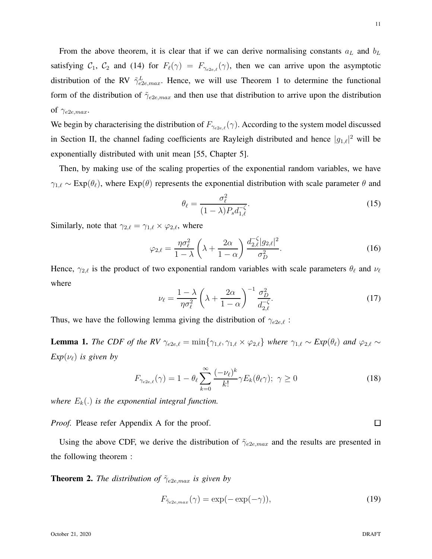From the above theorem, it is clear that if we can derive normalising constants  $a<sub>L</sub>$  and  $b<sub>L</sub>$ satisfying  $C_1$ ,  $C_2$  and (14) for  $F_{\ell}(\gamma) = F_{\gamma_{e2e,\ell}}(\gamma)$ , then we can arrive upon the asymptotic distribution of the RV  $\tilde{\gamma}_{e2e,max}^L$ . Hence, we will use Theorem 1 to determine the functional form of the distribution of  $\tilde{\gamma}_{e2e,max}$  and then use that distribution to arrive upon the distribution of  $\gamma_{e2e,max}$ .

We begin by characterising the distribution of  $F_{\gamma_{e2e,\ell}}(\gamma)$ . According to the system model discussed in Section II, the channel fading coefficients are Rayleigh distributed and hence  $|g_{1,\ell}|^2$  will be exponentially distributed with unit mean [55, Chapter 5].

Then, by making use of the scaling properties of the exponential random variables, we have  $\gamma_{1,\ell} \sim \text{Exp}(\theta_\ell)$ , where  $\text{Exp}(\theta)$  represents the exponential distribution with scale parameter  $\theta$  and

$$
\theta_{\ell} = \frac{\sigma_{\ell}^2}{(1 - \lambda)P_s d_{1,\ell}^{-\zeta}}.
$$
\n(15)

Similarly, note that  $\gamma_{2,\ell} = \gamma_{1,\ell} \times \varphi_{2,\ell}$ , where

$$
\varphi_{2,\ell} = \frac{\eta \sigma_{\ell}^2}{1 - \lambda} \left( \lambda + \frac{2\alpha}{1 - \alpha} \right) \frac{d_{2,\ell}^{-\zeta} |g_{2,\ell}|^2}{\sigma_D^2}.
$$
\n(16)

Hence,  $\gamma_{2,\ell}$  is the product of two exponential random variables with scale parameters  $\theta_{\ell}$  and  $\nu_{\ell}$ where

$$
\nu_{\ell} = \frac{1 - \lambda}{\eta \sigma_{\ell}^2} \left( \lambda + \frac{2\alpha}{1 - \alpha} \right)^{-1} \frac{\sigma_D^2}{d_{2,\ell}^{-\zeta}}.
$$
\n(17)

Thus, we have the following lemma giving the distribution of  $\gamma_{e2e,\ell}$ :

**Lemma 1.** *The CDF of the RV*  $\gamma_{e2e,\ell} = \min\{\gamma_{1,\ell}, \gamma_{1,\ell} \times \varphi_{2,\ell}\}\$  *where*  $\gamma_{1,\ell} \sim Exp(\theta_\ell)$  *and*  $\varphi_{2,\ell} \sim$  $Exp(\nu_{\ell})$  *is given by* 

$$
F_{\gamma_{e2e,\ell}}(\gamma) = 1 - \theta_{\ell} \sum_{k=0}^{\infty} \frac{(-\nu_{\ell})^k}{k!} \gamma E_k(\theta_{\ell} \gamma); \ \gamma \ge 0 \tag{18}
$$

*where*  $E_k(.)$  *is the exponential integral function.* 

*Proof.* Please refer Appendix A for the proof.

Using the above CDF, we derive the distribution of  $\tilde{\gamma}_{e2e,max}$  and the results are presented in the following theorem :

**Theorem 2.** *The distribution of*  $\tilde{\gamma}_{e2e,max}$  *is given by* 

$$
F_{\tilde{\gamma}_{e2e,max}}(\gamma) = \exp(-\exp(-\gamma)),\tag{19}
$$

 $\Box$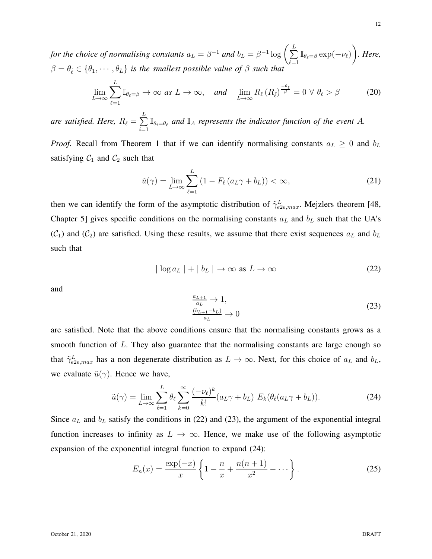for the choice of normalising constants  $a_L = \beta^{-1}$  and  $b_L = \beta^{-1} \log \left( \sum_{i=1}^{L} a_i \right)$  $\sum_{\ell=1}^L \mathbb{I}_{\theta_\ell=\beta} \exp(-\nu_\ell) \bigg)$ *. Here,*  $\beta = \theta_{\hat{\ell}} \in {\theta_1, \cdots, \theta_L}$  *is the smallest possible value of*  $\beta$  *such that* 

$$
\lim_{L \to \infty} \sum_{\ell=1}^{L} \mathbb{I}_{\theta_{\ell} = \beta} \to \infty \text{ as } L \to \infty, \quad \text{and} \quad \lim_{L \to \infty} R_{\ell}(R_{\hat{\ell}})^{\frac{-\theta_{\ell}}{\beta}} = 0 \ \forall \ \theta_{\ell} > \beta \tag{20}
$$

are satisfied. Here,  $R_\ell = \sum^L$  $\sum_{i=1}^{\infty} \mathbb{I}_{\theta_i=\theta_\ell}$  and  $\mathbb{I}_A$  *represents the indicator function of the event* A.

*Proof.* Recall from Theorem 1 that if we can identify normalising constants  $a_L \geq 0$  and  $b_L$ satisfying  $C_1$  and  $C_2$  such that

$$
\tilde{u}(\gamma) = \lim_{L \to \infty} \sum_{\ell=1}^{L} \left( 1 - F_{\ell} \left( a_L \gamma + b_L \right) \right) < \infty,\tag{21}
$$

then we can identify the form of the asymptotic distribution of  $\tilde{\gamma}_{e2e,max}^L$ . Mejzlers theorem [48, Chapter 5] gives specific conditions on the normalising constants  $a<sub>L</sub>$  and  $b<sub>L</sub>$  such that the UA's  $(C_1)$  and  $(C_2)$  are satisfied. Using these results, we assume that there exist sequences  $a<sub>L</sub>$  and  $b<sub>L</sub>$ such that

$$
|\log a_L| + |b_L| \to \infty \text{ as } L \to \infty
$$
 (22)

and

$$
\frac{a_{L+1}}{a_L} \to 1,
$$
  
\n
$$
\frac{(b_{L+1} - b_L)}{a_L} \to 0
$$
\n(23)

are satisfied. Note that the above conditions ensure that the normalising constants grows as a smooth function of  $L$ . They also guarantee that the normalising constants are large enough so that  $\tilde{\gamma}_{e2e,max}^L$  has a non degenerate distribution as  $L \to \infty$ . Next, for this choice of  $a_L$  and  $b_L$ , we evaluate  $\tilde{u}(\gamma)$ . Hence we have,

$$
\tilde{u}(\gamma) = \lim_{L \to \infty} \sum_{\ell=1}^{L} \theta_{\ell} \sum_{k=0}^{\infty} \frac{(-\nu_{\ell})^k}{k!} (a_L \gamma + b_L) E_k(\theta_{\ell}(a_L \gamma + b_L)). \tag{24}
$$

Since  $a<sub>L</sub>$  and  $b<sub>L</sub>$  satisfy the conditions in (22) and (23), the argument of the exponential integral function increases to infinity as  $L \to \infty$ . Hence, we make use of the following asymptotic expansion of the exponential integral function to expand (24):

$$
E_n(x) = \frac{\exp(-x)}{x} \left\{ 1 - \frac{n}{x} + \frac{n(n+1)}{x^2} - \dots \right\}.
$$
 (25)

12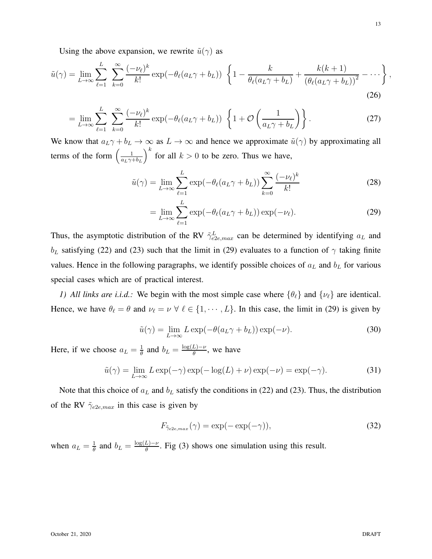$$
\tilde{u}(\gamma) = \lim_{L \to \infty} \sum_{\ell=1}^{L} \sum_{k=0}^{\infty} \frac{(-\nu_{\ell})^k}{k!} \exp(-\theta_{\ell}(a_L \gamma + b_L)) \left\{ 1 - \frac{k}{\theta_{\ell}(a_L \gamma + b_L)} + \frac{k(k+1)}{(\theta_{\ell}(a_L \gamma + b_L))^2} - \cdots \right\},\tag{26}
$$

$$
= \lim_{L \to \infty} \sum_{\ell=1}^{L} \sum_{k=0}^{\infty} \frac{(-\nu_{\ell})^k}{k!} \exp(-\theta_{\ell}(a_L \gamma + b_L)) \left\{ 1 + \mathcal{O}\left(\frac{1}{a_L \gamma + b_L}\right) \right\}.
$$
 (27)

We know that  $a_L\gamma + b_L \to \infty$  as  $L \to \infty$  and hence we approximate  $\tilde{u}(\gamma)$  by approximating all terms of the form  $\left(\frac{1}{a^{1/2}}\right)$  $a_L\gamma+b_L$  $\int_{0}^{k}$  for all  $k > 0$  to be zero. Thus we have,

$$
\tilde{u}(\gamma) = \lim_{L \to \infty} \sum_{\ell=1}^{L} \exp(-\theta_{\ell}(a_L \gamma + b_L)) \sum_{k=0}^{\infty} \frac{(-\nu_{\ell})^k}{k!}
$$
\n(28)

$$
= \lim_{L \to \infty} \sum_{\ell=1}^{L} \exp(-\theta_{\ell}(a_L \gamma + b_L)) \exp(-\nu_{\ell}). \tag{29}
$$

Thus, the asymptotic distribution of the RV  $\tilde{\gamma}_{e2e,max}^{L}$  can be determined by identifying  $a_L$  and  $b_L$  satisfying (22) and (23) such that the limit in (29) evaluates to a function of  $\gamma$  taking finite values. Hence in the following paragraphs, we identify possible choices of  $a<sub>L</sub>$  and  $b<sub>L</sub>$  for various special cases which are of practical interest.

*1) All links are i.i.d.:* We begin with the most simple case where  $\{\theta_{\ell}\}\$  and  $\{\nu_{\ell}\}\$  are identical. Hence, we have  $\theta_{\ell} = \theta$  and  $\nu_{\ell} = \nu \ \forall \ \ell \in \{1, \dots, L\}$ . In this case, the limit in (29) is given by

$$
\tilde{u}(\gamma) = \lim_{L \to \infty} L \exp(-\theta(a_L \gamma + b_L)) \exp(-\nu).
$$
\n(30)

Here, if we choose  $a_L = \frac{1}{\theta}$  $\frac{1}{\theta}$  and  $b_L = \frac{\log(L) - \nu}{\theta}$  $\frac{L(-\nu)}{\theta}$ , we have

$$
\tilde{u}(\gamma) = \lim_{L \to \infty} L \exp(-\gamma) \exp(-\log(L) + \nu) \exp(-\nu) = \exp(-\gamma).
$$
 (31)

Note that this choice of  $a<sub>L</sub>$  and  $b<sub>L</sub>$  satisfy the conditions in (22) and (23). Thus, the distribution of the RV  $\tilde{\gamma}_{e2e,max}$  in this case is given by

$$
F_{\tilde{\gamma}_{e2e,max}}(\gamma) = \exp(-\exp(-\gamma)),\tag{32}
$$

when  $a_L = \frac{1}{\theta}$  $\frac{1}{\theta}$  and  $b_L = \frac{\log(L) - \nu}{\theta}$  $\frac{L(-\nu)}{\theta}$ . Fig (3) shows one simulation using this result.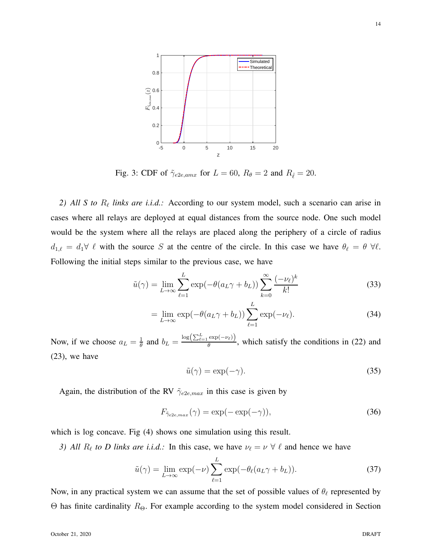

Fig. 3: CDF of  $\tilde{\gamma}_{e2e, amx}$  for  $L = 60$ ,  $R_{\theta} = 2$  and  $R_{\hat{\ell}} = 20$ .

2) All S to  $R_{\ell}$  links are *i.i.d.*: According to our system model, such a scenario can arise in cases where all relays are deployed at equal distances from the source node. One such model would be the system where all the relays are placed along the periphery of a circle of radius  $d_{1,\ell} = d_1 \forall \ell$  with the source S at the centre of the circle. In this case we have  $\theta_{\ell} = \theta \ \forall \ell$ . Following the initial steps similar to the previous case, we have

$$
\tilde{u}(\gamma) = \lim_{L \to \infty} \sum_{\ell=1}^{L} \exp(-\theta(a_L \gamma + b_L)) \sum_{k=0}^{\infty} \frac{(-\nu_\ell)^k}{k!}
$$
\n(33)

$$
= \lim_{L \to \infty} \exp(-\theta(a_L \gamma + b_L)) \sum_{\ell=1}^{L} \exp(-\nu_{\ell}). \tag{34}
$$

Now, if we choose  $a_L = \frac{1}{\theta}$  $\frac{1}{\theta}$  and  $b_L = \frac{\log(\sum_{\ell=1}^L \exp(-\nu_\ell))}{\theta}$  $\frac{\exp(-\nu_{\ell})}{\theta}$ , which satisfy the conditions in (22) and (23), we have

$$
\tilde{u}(\gamma) = \exp(-\gamma). \tag{35}
$$

Again, the distribution of the RV  $\tilde{\gamma}_{e2e,max}$  in this case is given by

$$
F_{\tilde{\gamma}_{e2e,max}}(\gamma) = \exp(-\exp(-\gamma)),\tag{36}
$$

which is log concave. Fig (4) shows one simulation using this result.

*3)* All  $R_{\ell}$  to *D* links are i.i.d.: In this case, we have  $\nu_{\ell} = \nu \ \forall \ \ell$  and hence we have

$$
\tilde{u}(\gamma) = \lim_{L \to \infty} \exp(-\nu) \sum_{\ell=1}^{L} \exp(-\theta_{\ell}(a_L \gamma + b_L)). \tag{37}
$$

Now, in any practical system we can assume that the set of possible values of  $\theta_{\ell}$  represented by Θ has finite cardinality  $R_{\Theta}$ . For example according to the system model considered in Section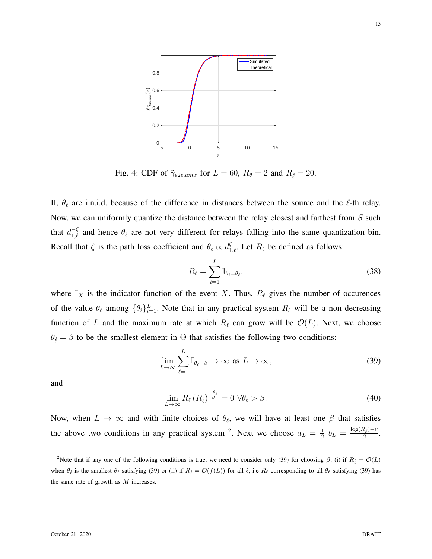

Fig. 4: CDF of  $\tilde{\gamma}_{e2e, amx}$  for  $L = 60$ ,  $R_{\theta} = 2$  and  $R_{\hat{\ell}} = 20$ .

II,  $\theta_{\ell}$  are i.n.i.d. because of the difference in distances between the source and the  $\ell$ -th relay. Now, we can uniformly quantize the distance between the relay closest and farthest from S such that  $d_{1,\ell}^{-\zeta}$  and hence  $\theta_{\ell}$  are not very different for relays falling into the same quantization bin. Recall that  $\zeta$  is the path loss coefficient and  $\theta_{\ell} \propto d_{1,\ell}^{\zeta}$ . Let  $R_{\ell}$  be defined as follows:

$$
R_{\ell} = \sum_{i=1}^{L} \mathbb{I}_{\theta_i = \theta_{\ell}},
$$
\n(38)

where  $\mathbb{I}_X$  is the indicator function of the event X. Thus,  $R_\ell$  gives the number of occurences of the value  $\theta_{\ell}$  among  $\{\theta_i\}_{i=1}^L$ . Note that in any practical system  $R_{\ell}$  will be a non decreasing function of L and the maximum rate at which  $R_{\ell}$  can grow will be  $\mathcal{O}(L)$ . Next, we choose  $\theta_{\hat{\ell}} = \beta$  to be the smallest element in  $\Theta$  that satisfies the following two conditions:

$$
\lim_{L \to \infty} \sum_{\ell=1}^{L} \mathbb{I}_{\theta_{\ell} = \beta} \to \infty \text{ as } L \to \infty,
$$
\n(39)

and

$$
\lim_{L \to \infty} R_{\ell} \left( R_{\hat{\ell}} \right)^{\frac{-\theta_{\ell}}{\beta}} = 0 \ \forall \theta_{\ell} > \beta. \tag{40}
$$

Now, when  $L \to \infty$  and with finite choices of  $\theta_{\ell}$ , we will have at least one  $\beta$  that satisfies the above two conditions in any practical system <sup>2</sup>. Next we choose  $a_L = \frac{1}{\beta}$  $\frac{1}{\beta}$   $b_L$   $=$   $\frac{\log(R_{\hat{\ell}})-\nu}{\beta}$  $\frac{\mu_{\hat{\ell}}^{1-\nu}}{\beta}$ .

<sup>2</sup>Note that if any one of the following conditions is true, we need to consider only (39) for choosing  $\beta$ : (i) if  $R_{\hat{\ell}} = \mathcal{O}(L)$ when  $\theta_{\ell}$  is the smallest  $\theta_{\ell}$  satisfying (39) or (ii) if  $R_{\ell} = \mathcal{O}(f(L))$  for all  $\ell$ ; i.e  $R_{\ell}$  corresponding to all  $\theta_{\ell}$  satisfying (39) has the same rate of growth as  $M$  increases.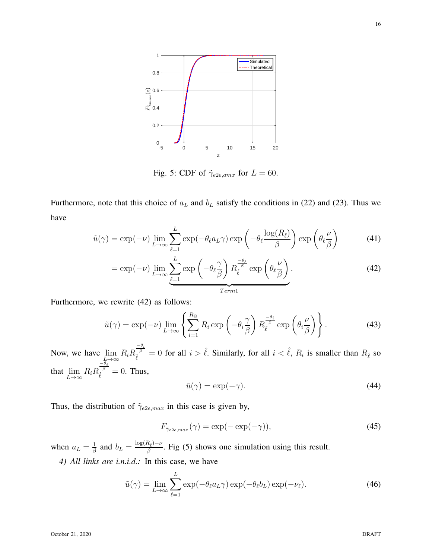

Fig. 5: CDF of  $\tilde{\gamma}_{e2e, amx}$  for  $L = 60$ .

Furthermore, note that this choice of  $a<sub>L</sub>$  and  $b<sub>L</sub>$  satisfy the conditions in (22) and (23). Thus we have

$$
\tilde{u}(\gamma) = \exp(-\nu) \lim_{L \to \infty} \sum_{\ell=1}^{L} \exp(-\theta_{\ell} a_L \gamma) \exp\left(-\theta_{\ell} \frac{\log(R_{\hat{\ell}})}{\beta}\right) \exp\left(\theta_{\ell} \frac{\nu}{\beta}\right)
$$
(41)

$$
= \exp(-\nu) \lim_{L \to \infty} \underbrace{\sum_{\ell=1}^{L} \exp\left(-\theta_{\ell} \frac{\gamma}{\beta}\right) R_{\ell}^{\frac{-\theta_{\ell}}{\beta}} \exp\left(\theta_{\ell} \frac{\nu}{\beta}\right)}_{Term 1}.
$$
\n(42)

Furthermore, we rewrite (42) as follows:

$$
\tilde{u}(\gamma) = \exp(-\nu) \lim_{L \to \infty} \left\{ \sum_{i=1}^{R_{\Theta}} R_i \exp\left(-\theta_i \frac{\gamma}{\beta}\right) R_i^{\frac{-\theta_i}{\beta}} \exp\left(\theta_i \frac{\nu}{\beta}\right) \right\}.
$$
 (43)

Now, we have  $\lim_{L \to \infty} R_i R_i$  $\frac{-\theta_i}{\hat{\beta}} = 0$  for all  $i > \hat{\ell}$ . Similarly, for all  $i < \hat{\ell}$ ,  $R_i$  is smaller than  $R_{\hat{\ell}}$  so that  $\lim_{L\to\infty} R_i R_i$  $\frac{-\theta_i}{\hat{\ell}}=0$ . Thus,

$$
\tilde{u}(\gamma) = \exp(-\gamma). \tag{44}
$$

Thus, the distribution of  $\tilde{\gamma}_{e2e,max}$  in this case is given by,

$$
F_{\tilde{\gamma}_{e2e,max}}(\gamma) = \exp(-\exp(-\gamma)),\tag{45}
$$

when  $a_L = \frac{1}{\beta}$  $\frac{1}{\beta}$  and  $b_L = \frac{\log(R_{\hat{\ell}}) - \nu}{\beta}$  $\frac{\lambda_{\hat{\ell}}-\nu}{\beta}$ . Fig (5) shows one simulation using this result.

*4) All links are i.n.i.d.:* In this case, we have

$$
\tilde{u}(\gamma) = \lim_{L \to \infty} \sum_{\ell=1}^{L} \exp(-\theta_{\ell} a_L \gamma) \exp(-\theta_{\ell} b_L) \exp(-\nu_{\ell}). \tag{46}
$$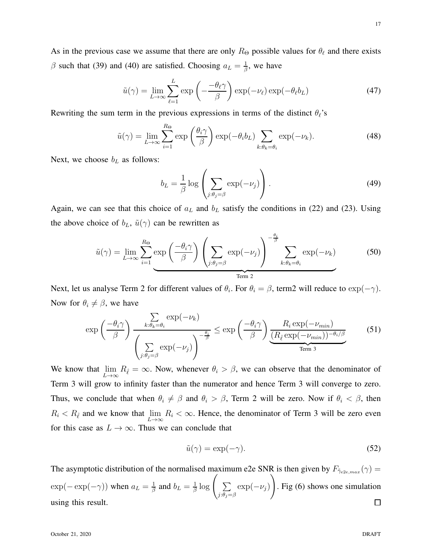As in the previous case we assume that there are only  $R_{\Theta}$  possible values for  $\theta_{\ell}$  and there exists  $\beta$  such that (39) and (40) are satisfied. Choosing  $a_L = \frac{1}{\beta}$  $\frac{1}{\beta}$ , we have

$$
\tilde{u}(\gamma) = \lim_{L \to \infty} \sum_{\ell=1}^{L} \exp\left(-\frac{-\theta_{\ell}\gamma}{\beta}\right) \exp(-\nu_{\ell}) \exp(-\theta_{\ell}b_L)
$$
\n(47)

Rewriting the sum term in the previous expressions in terms of the distinct  $\theta_{\ell}$ 's

$$
\tilde{u}(\gamma) = \lim_{L \to \infty} \sum_{i=1}^{R_{\Theta}} \exp\left(\frac{\theta_i \gamma}{\beta}\right) \exp(-\theta_i b_L) \sum_{k: \theta_k = \theta_i} \exp(-\nu_k). \tag{48}
$$

Next, we choose  $b<sub>L</sub>$  as follows:

$$
b_L = \frac{1}{\beta} \log \left( \sum_{j:\theta_j = \beta} \exp(-\nu_j) \right). \tag{49}
$$

Again, we can see that this choice of  $a<sub>L</sub>$  and  $b<sub>L</sub>$  satisfy the conditions in (22) and (23). Using the above choice of  $b_L$ ,  $\tilde{u}(\gamma)$  can be rewritten as

$$
\tilde{u}(\gamma) = \lim_{L \to \infty} \sum_{i=1}^{R_{\Theta}} \exp\left(\frac{-\theta_i \gamma}{\beta}\right) \left(\sum_{j:\theta_j=\beta} \exp(-\nu_j)\right)^{-\frac{\theta_i}{\beta}} \sum_{k:\theta_k=\theta_i} \exp(-\nu_k) \tag{50}
$$

Next, let us analyse Term 2 for different values of  $\theta_i$ . For  $\theta_i = \beta$ , term2 will reduce to  $\exp(-\gamma)$ . Now for  $\theta_i \neq \beta$ , we have

$$
\exp\left(\frac{-\theta_i\gamma}{\beta}\right) \frac{\sum_{k:\theta_k=\theta_i} \exp(-\nu_k)}{\left(\sum_{j:\theta_j=\beta} \exp(-\nu_j)\right)^{-\frac{\theta_i}{\beta}}} \le \exp\left(\frac{-\theta_i\gamma}{\beta}\right) \underbrace{\frac{R_i \exp(-\nu_{min})}{(R_\ell \exp(-\nu_{min}))^{-\theta_i/\beta}}}_{\text{Term 3}}
$$
(51)

We know that  $\lim_{L\to\infty} R_{\hat{\ell}} = \infty$ . Now, whenever  $\theta_i > \beta$ , we can observe that the denominator of Term 3 will grow to infinity faster than the numerator and hence Term 3 will converge to zero. Thus, we conclude that when  $\theta_i \neq \beta$  and  $\theta_i > \beta$ , Term 2 will be zero. Now if  $\theta_i < \beta$ , then  $R_i < R_{\hat{\ell}}$  and we know that  $\lim_{L \to \infty} R_i < \infty$ . Hence, the denominator of Term 3 will be zero even for this case as  $L \to \infty$ . Thus we can conclude that

$$
\tilde{u}(\gamma) = \exp(-\gamma). \tag{52}
$$

The asymptotic distribution of the normalised maximum e2e SNR is then given by  $F_{\tilde{\gamma}_{e2e,max}}(\gamma) =$  $\frac{1}{\beta} \log \left( \sum_{n=1}^{\infty} \right)$ !  $\exp(-\exp(-\gamma))$  when  $a_L = \frac{1}{\beta}$  $\frac{1}{\beta}$  and  $b_L = \frac{1}{\beta}$  $\sum_{j:\theta_j=\beta} \exp(-\nu_j)$ . Fig (6) shows one simulation  $\Box$ using this result.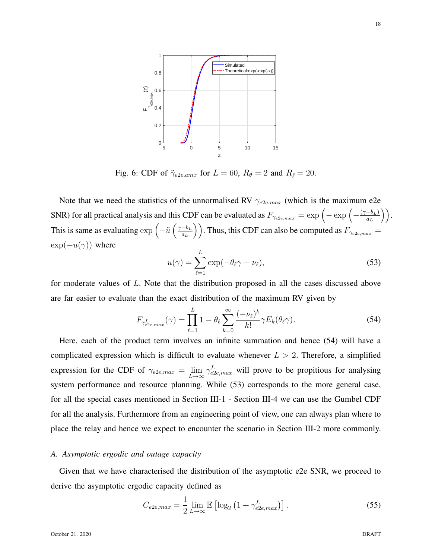

Fig. 6: CDF of  $\tilde{\gamma}_{e2e, amx}$  for  $L = 60$ ,  $R_{\theta} = 2$  and  $R_{\hat{\ell}} = 20$ .

Note that we need the statistics of the unnormalised RV  $\gamma_{e2e,max}$  (which is the maximum e2e SNR) for all practical analysis and this CDF can be evaluated as  $F_{\gamma_{e2e,max}} = \exp\left(-\exp\left(-\frac{(\gamma - b_L)}{a_L}\right)\right)$  $\frac{-b_L)}{a_L}\bigg)\bigg).$ This is same as evaluating  $\exp\left(-\tilde{u}\left(\frac{\gamma-b_L}{a_L}\right)\right)$  $\left(\frac{-b_L}{a_L}\right)$ ). Thus, this CDF can also be computed as  $F_{\gamma_{e2e,max}} =$  $\exp(-u(\gamma))$  where

$$
u(\gamma) = \sum_{\ell=1}^{L} \exp(-\theta_{\ell}\gamma - \nu_{\ell}),
$$
\n(53)

for moderate values of L. Note that the distribution proposed in all the cases discussed above are far easier to evaluate than the exact distribution of the maximum RV given by

$$
F_{\gamma_{e2e,max}^L}(\gamma) = \prod_{\ell=1}^L 1 - \theta_\ell \sum_{k=0}^\infty \frac{(-\nu_\ell)^k}{k!} \gamma E_k(\theta_\ell \gamma). \tag{54}
$$

Here, each of the product term involves an infinite summation and hence (54) will have a complicated expression which is difficult to evaluate whenever  $L > 2$ . Therefore, a simplified expression for the CDF of  $\gamma_{e2e,max} = \lim_{L \to \infty} \gamma_{e2e,max}^L$  will prove to be propitious for analysing system performance and resource planning. While (53) corresponds to the more general case, for all the special cases mentioned in Section III-1 - Section III-4 we can use the Gumbel CDF for all the analysis. Furthermore from an engineering point of view, one can always plan where to place the relay and hence we expect to encounter the scenario in Section III-2 more commonly.

## *A. Asymptotic ergodic and outage capacity*

Given that we have characterised the distribution of the asymptotic e2e SNR, we proceed to derive the asymptotic ergodic capacity defined as

$$
C_{e2e,max} = \frac{1}{2} \lim_{L \to \infty} \mathbb{E} \left[ \log_2 \left( 1 + \gamma_{e2e,max}^L \right) \right]. \tag{55}
$$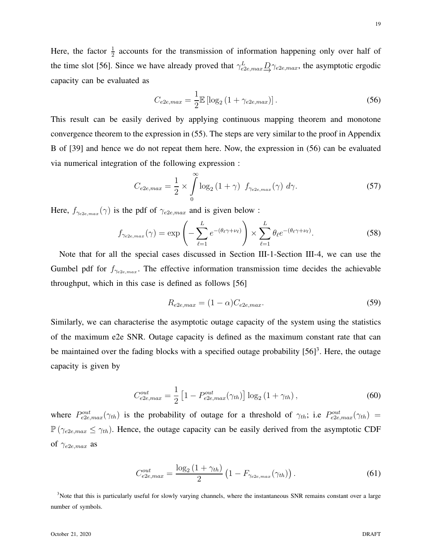Here, the factor  $\frac{1}{2}$  accounts for the transmission of information happening only over half of the time slot [56]. Since we have already proved that  $\gamma_{e2e,max}^L \underline{D} \gamma_{e2e,max}$ , the asymptotic ergodic capacity can be evaluated as

$$
C_{e2e,max} = \frac{1}{2} \mathbb{E} \left[ \log_2 \left( 1 + \gamma_{e2e,max} \right) \right]. \tag{56}
$$

This result can be easily derived by applying continuous mapping theorem and monotone convergence theorem to the expression in (55). The steps are very similar to the proof in Appendix B of [39] and hence we do not repeat them here. Now, the expression in (56) can be evaluated via numerical integration of the following expression :

$$
C_{e2e,max} = \frac{1}{2} \times \int_{0}^{\infty} \log_2 \left(1 + \gamma\right) f_{\gamma_{e2e,max}}(\gamma) d\gamma.
$$
 (57)

Here,  $f_{\gamma_{e2e,max}}(\gamma)$  is the pdf of  $\gamma_{e2e,max}$  and is given below :

$$
f_{\gamma_{e2e,max}}(\gamma) = \exp\left(-\sum_{\ell=1}^{L} e^{-(\theta_{\ell}\gamma + \nu_{\ell})}\right) \times \sum_{\ell=1}^{L} \theta_{\ell} e^{-(\theta_{\ell}\gamma + \nu_{\ell})}.
$$
 (58)

Note that for all the special cases discussed in Section III-1-Section III-4, we can use the Gumbel pdf for  $f_{\gamma_{e2e,max}}$ . The effective information transmission time decides the achievable throughput, which in this case is defined as follows [56]

$$
R_{e2e,max} = (1 - \alpha)C_{e2e,max}.\tag{59}
$$

Similarly, we can characterise the asymptotic outage capacity of the system using the statistics of the maximum e2e SNR. Outage capacity is defined as the maximum constant rate that can be maintained over the fading blocks with a specified outage probability  $[56]$ <sup>3</sup>. Here, the outage capacity is given by

$$
C_{e2e,max}^{out} = \frac{1}{2} \left[ 1 - P_{e2e,max}^{out}(\gamma_{th}) \right] \log_2 \left( 1 + \gamma_{th} \right), \tag{60}
$$

where  $P_{e2e,max}^{out}(\gamma_{th})$  is the probability of outage for a threshold of  $\gamma_{th}$ ; i.e  $P_{e2e,max}^{out}(\gamma_{th})$  =  $\mathbb{P}(\gamma_{e2e,max} \leq \gamma_{th})$ . Hence, the outage capacity can be easily derived from the asymptotic CDF of  $\gamma_{e2e,max}$  as

$$
C_{e2e,max}^{out} = \frac{\log_2\left(1 + \gamma_{th}\right)}{2} \left(1 - F_{\gamma_{e2e,max}}(\gamma_{th})\right). \tag{61}
$$

<sup>3</sup>Note that this is particularly useful for slowly varying channels, where the instantaneous SNR remains constant over a large number of symbols.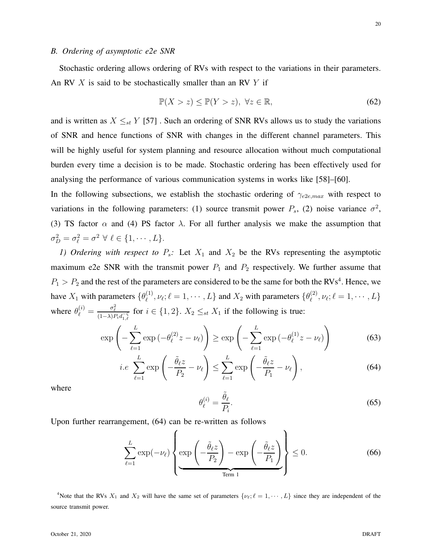Stochastic ordering allows ordering of RVs with respect to the variations in their parameters. An RV  $X$  is said to be stochastically smaller than an RV  $Y$  if

$$
\mathbb{P}(X > z) \le \mathbb{P}(Y > z), \ \forall z \in \mathbb{R}, \tag{62}
$$

and is written as  $X \leq_{st} Y$  [57]. Such an ordering of SNR RVs allows us to study the variations of SNR and hence functions of SNR with changes in the different channel parameters. This will be highly useful for system planning and resource allocation without much computational burden every time a decision is to be made. Stochastic ordering has been effectively used for analysing the performance of various communication systems in works like [58]–[60].

In the following subsections, we establish the stochastic ordering of  $\gamma_{e2e,max}$  with respect to variations in the following parameters: (1) source transmit power  $P_s$ , (2) noise variance  $\sigma^2$ , (3) TS factor  $\alpha$  and (4) PS factor  $\lambda$ . For all further analysis we make the assumption that  $\sigma_D^2 = \sigma_\ell^2 = \sigma^2 \ \forall \ \ell \in \{1, \cdots, L\}.$ 

*1) Ordering with respect to*  $P_s$ : Let  $X_1$  and  $X_2$  be the RVs representing the asymptotic maximum e2e SNR with the transmit power  $P_1$  and  $P_2$  respectively. We further assume that  $P_1 > P_2$  and the rest of the parameters are considered to be the same for both the RVs<sup>4</sup>. Hence, we have  $X_1$  with parameters  $\{\theta_\ell^{(1)}\}$  $\mathcal{U}_{\ell}^{(1)}, \nu_{\ell}; \ell = 1, \cdots, L\}$  and  $X_2$  with parameters  $\{\theta_{\ell}^{(2)}\}$  $\ell^{(2)}_{\ell}, \nu_{\ell}; \ell = 1, \cdots, L\}$ where  $\theta_{\ell}^{(i)} = \frac{\sigma_{\ell}^2}{(1-\lambda)P_i d_{1,\ell}^{-\zeta}}$  for  $i \in \{1,2\}$ .  $X_2 \leq_{st} X_1$  if the following is true:

$$
\exp\left(-\sum_{\ell=1}^{L}\exp\left(-\theta_{\ell}^{(2)}z-\nu_{\ell}\right)\right)\geq \exp\left(-\sum_{\ell=1}^{L}\exp\left(-\theta_{\ell}^{(1)}z-\nu_{\ell}\right)\right) \tag{63}
$$

$$
i.e. \sum_{\ell=1}^{L} \exp\left(-\frac{\tilde{\theta}_{\ell}z}{P_2} - \nu_{\ell}\right) \le \sum_{\ell=1}^{L} \exp\left(-\frac{\tilde{\theta}_{\ell}z}{P_1} - \nu_{\ell}\right),\tag{64}
$$

where

$$
\theta_{\ell}^{(i)} = \frac{\tilde{\theta}_{\ell}}{P_i}.\tag{65}
$$

Upon further rearrangement, (64) can be re-written as follows

$$
\sum_{\ell=1}^{L} \exp(-\nu_{\ell}) \left\{ \exp\left(-\frac{\tilde{\theta}_{\ell} z}{P_2}\right) - \exp\left(-\frac{\tilde{\theta}_{\ell} z}{P_1}\right) \right\} \le 0. \tag{66}
$$

<sup>4</sup>Note that the RVs  $X_1$  and  $X_2$  will have the same set of parameters  $\{\nu_\ell; \ell = 1, \dots, L\}$  since they are independent of the source transmit power.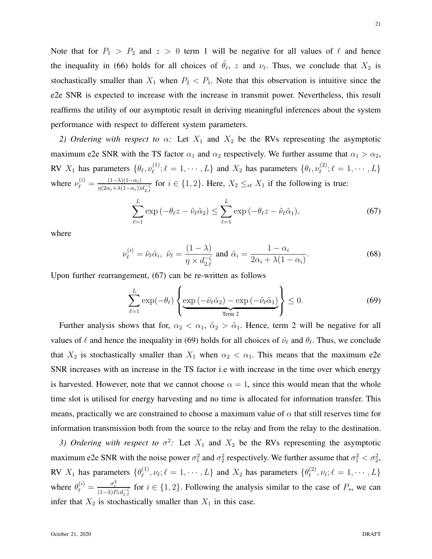Note that for  $P_1 > P_2$  and  $z > 0$  term 1 will be negative for all values of  $\ell$  and hence the inequality in (66) holds for all choices of  $\tilde{\theta}_{\ell}$ , z and  $\nu_{\ell}$ . Thus, we conclude that  $X_2$  is stochastically smaller than  $X_1$  when  $P_2 < P_1$ . Note that this observation is intuitive since the e2e SNR is expected to increase with the increase in transmit power. Nevertheless, this result reaffirms the utility of our asymptotic result in deriving meaningful inferences about the system performance with respect to different system parameters.

*2) Ordering with respect to*  $\alpha$ : Let  $X_1$  and  $X_2$  be the RVs representing the asymptotic maximum e2e SNR with the TS factor  $\alpha_1$  and  $\alpha_2$  respectively. We further assume that  $\alpha_1 > \alpha_2$ , RV  $X_1$  has parameters  $\{\theta_\ell, \nu_\ell^{(1)}\}$  $\{\psi_{\ell}^{(1)}; \ell = 1, \cdots, L\}$  and  $X_2$  has parameters  $\{\theta_{\ell}, \nu_{\ell}^{(2)}\}$  $\{\ell}^{(2)}; \ell = 1, \cdots, L\}$ where  $\nu_{\ell}^{(i)} = \frac{(1-\lambda)(1-\alpha_i)}{n(2\alpha_i+\lambda(1-\alpha_i))}$  $\frac{(1-\lambda)(1-\alpha_i)}{\eta(2\alpha_i+\lambda(1-\alpha_i))d_{2,\ell}^{-\zeta}}$  for  $i \in \{1,2\}$ . Here,  $X_2 \leq_{st} X_1$  if the following is true:

$$
\sum_{\ell=1}^{L} \exp\left(-\theta_{\ell}z - \tilde{\nu}_{\ell}\tilde{\alpha}_2\right) \le \sum_{\ell=1}^{L} \exp\left(-\theta_{\ell}z - \tilde{\nu}_{\ell}\tilde{\alpha}_1\right),\tag{67}
$$

where

$$
\nu_{\ell}^{(i)} = \tilde{\nu}_{\ell}\tilde{\alpha}_i, \ \tilde{\nu}_{\ell} = \frac{(1-\lambda)}{\eta \times d_{2,\ell}^{-\zeta}} \text{ and } \tilde{\alpha}_i = \frac{1-\alpha_i}{2\alpha_i + \lambda(1-\alpha_i)}.
$$
 (68)

Upon further rearrangement, (67) can be re-written as follows

$$
\sum_{\ell=1}^{L} \exp(-\theta_{\ell}) \left\{ \underbrace{\exp(-\tilde{\nu}_{\ell}\tilde{\alpha}_{2}) - \exp(-\tilde{\nu}_{\ell}\tilde{\alpha}_{1})}_{\text{Term 2}} \right\} \leq 0. \tag{69}
$$

Further analysis shows that for,  $\alpha_2 < \alpha_1$ ,  $\tilde{\alpha}_2 > \tilde{\alpha}_1$ . Hence, term 2 will be negative for all values of  $\ell$  and hence the inequality in (69) holds for all choices of  $\tilde{\nu}_{\ell}$  and  $\theta_{\ell}$ . Thus, we conclude that  $X_2$  is stochastically smaller than  $X_1$  when  $\alpha_2 < \alpha_1$ . This means that the maximum e2e SNR increases with an increase in the TS factor i.e with increase in the time over which energy is harvested. However, note that we cannot choose  $\alpha = 1$ , since this would mean that the whole time slot is utilised for energy harvesting and no time is allocated for information transfer. This means, practically we are constrained to choose a maximum value of  $\alpha$  that still reserves time for information transmission both from the source to the relay and from the relay to the destination.

3) Ordering with respect to  $\sigma^2$ : Let  $X_1$  and  $X_2$  be the RVs representing the asymptotic maximum e2e SNR with the noise power  $\sigma_1^2$  and  $\sigma_2^2$  respectively. We further assume that  $\sigma_1^2 < \sigma_2^2$ , RV  $X_1$  has parameters  $\{\theta_\ell^{(1)}\}$  $\{\psi_{\ell}^{(1)}, \nu_{\ell}; \ell = 1, \cdots, L\}$  and  $X_2$  has parameters  $\{\theta_{\ell}^{(2)}\}$  $\mathcal{L}^{(2)}_{\ell}, \nu_{\ell}; \ell = 1, \cdots, L\}$ where  $\theta_{\ell}^{(i)} = \frac{\sigma_i^2}{(1-\lambda)P_s d_{1,\ell}^{-\zeta}}$  for  $i \in \{1,2\}$ . Following the analysis similar to the case of  $P_s$ , we can infer that  $X_2$  is stochastically smaller than  $X_1$  in this case.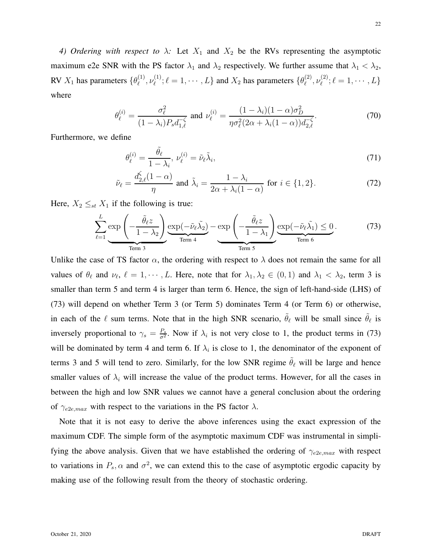*4) Ordering with respect to*  $\lambda$ : Let  $X_1$  and  $X_2$  be the RVs representing the asymptotic maximum e2e SNR with the PS factor  $\lambda_1$  and  $\lambda_2$  respectively. We further assume that  $\lambda_1 < \lambda_2$ , RV  $X_1$  has parameters  $\{\theta_\ell^{(1)}\}$  $\overset{(1)}{\ell},\nu^{(1)}_\ell$  $\mathcal{L}_{\ell}^{(1)}$ ;  $\ell = 1, \cdots, L$  and  $X_2$  has parameters  $\{\theta_{\ell}^{(2)}\}$  $\overset{(2)}{\ell}, \nu^{(2)}_\ell$  $\ell^{(2)}$ ;  $\ell = 1, \cdots, L\}$ where

$$
\theta_{\ell}^{(i)} = \frac{\sigma_{\ell}^2}{(1 - \lambda_i) P_s d_{1,\ell}^{-\zeta}} \text{ and } \nu_{\ell}^{(i)} = \frac{(1 - \lambda_i)(1 - \alpha)\sigma_D^2}{\eta \sigma_{\ell}^2 (2\alpha + \lambda_i(1 - \alpha)) d_{2,\ell}^{-\zeta}}.
$$
(70)

Furthermore, we define

$$
\theta_{\ell}^{(i)} = \frac{\tilde{\theta}_{\ell}}{1 - \lambda_i}, \, \nu_{\ell}^{(i)} = \tilde{\nu}_{\ell} \tilde{\lambda}_i,\tag{71}
$$

$$
\tilde{\nu}_{\ell} = \frac{d_{2,\ell}^{\zeta}(1-\alpha)}{\eta} \text{ and } \tilde{\lambda}_i = \frac{1-\lambda_i}{2\alpha+\lambda_i(1-\alpha)} \text{ for } i \in \{1,2\}. \tag{72}
$$

Here,  $X_2 \leq_{st} X_1$  if the following is true:

$$
\sum_{\ell=1}^{L} \underbrace{\exp\left(-\frac{\tilde{\theta}_{\ell}z}{1-\lambda_{2}}\right)}_{\text{Term 3}} \underbrace{\exp(-\tilde{\nu}_{\ell}\tilde{\lambda_{2}})}_{\text{Term 4}} - \underbrace{\exp\left(-\frac{\tilde{\theta}_{\ell}z}{1-\lambda_{1}}\right)}_{\text{Term 5}} \underbrace{\exp(-\tilde{\nu}_{\ell}\tilde{\lambda_{1}}) \leq 0}_{\text{Term 6}}.
$$
 (73)

Unlike the case of TS factor  $\alpha$ , the ordering with respect to  $\lambda$  does not remain the same for all values of  $\theta_\ell$  and  $\nu_\ell$ ,  $\ell = 1, \dots, L$ . Here, note that for  $\lambda_1, \lambda_2 \in (0, 1)$  and  $\lambda_1 < \lambda_2$ , term 3 is smaller than term 5 and term 4 is larger than term 6. Hence, the sign of left-hand-side (LHS) of (73) will depend on whether Term 3 (or Term 5) dominates Term 4 (or Term 6) or otherwise, in each of the  $\ell$  sum terms. Note that in the high SNR scenario,  $\tilde{\theta}_{\ell}$  will be small since  $\tilde{\theta}_{\ell}$  is inversely proportional to  $\gamma_s = \frac{P_s}{\sigma^2}$ . Now if  $\lambda_i$  is not very close to 1, the product terms in (73) will be dominated by term 4 and term 6. If  $\lambda_i$  is close to 1, the denominator of the exponent of terms 3 and 5 will tend to zero. Similarly, for the low SNR regime  $\tilde{\theta}_{\ell}$  will be large and hence smaller values of  $\lambda_i$  will increase the value of the product terms. However, for all the cases in between the high and low SNR values we cannot have a general conclusion about the ordering of  $\gamma_{e2e,max}$  with respect to the variations in the PS factor  $\lambda$ .

Note that it is not easy to derive the above inferences using the exact expression of the maximum CDF. The simple form of the asymptotic maximum CDF was instrumental in simplifying the above analysis. Given that we have established the ordering of  $\gamma_{e2e,max}$  with respect to variations in  $P_s$ ,  $\alpha$  and  $\sigma^2$ , we can extend this to the case of asymptotic ergodic capacity by making use of the following result from the theory of stochastic ordering.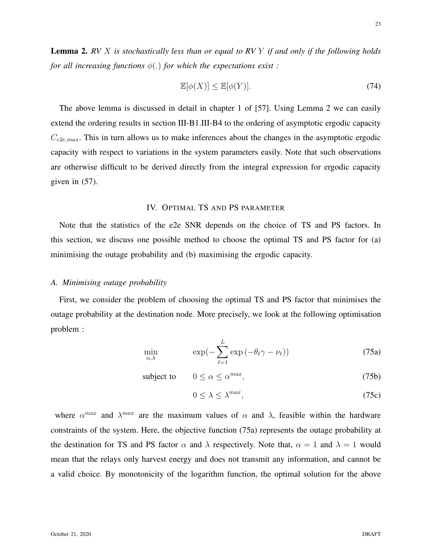23

Lemma 2. *RV* X *is stochastically less than or equal to RV* Y *if and only if the following holds for all increasing functions* φ(.) *for which the expectations exist :*

$$
\mathbb{E}[\phi(X)] \le \mathbb{E}[\phi(Y)].\tag{74}
$$

The above lemma is discussed in detail in chapter 1 of [57]. Using Lemma 2 we can easily extend the ordering results in section III-B1.III-B4 to the ordering of asymptotic ergodic capacity  $C_{e2e,max}$ . This in turn allows us to make inferences about the changes in the asymptotic ergodic capacity with respect to variations in the system parameters easily. Note that such observations are otherwise difficult to be derived directly from the integral expression for ergodic capacity given in (57).

# IV. OPTIMAL TS AND PS PARAMETER

Note that the statistics of the e2e SNR depends on the choice of TS and PS factors. In this section, we discuss one possible method to choose the optimal TS and PS factor for (a) minimising the outage probability and (b) maximising the ergodic capacity.

#### *A. Minimising outage probability*

First, we consider the problem of choosing the optimal TS and PS factor that minimises the outage probability at the destination node. More precisely, we look at the following optimisation problem :

$$
\min_{\alpha,\lambda} \qquad \exp(-\sum_{\ell=1}^{L} \exp(-\theta_{\ell}\gamma - \nu_{\ell})) \qquad (75a)
$$

subject to  $0 \le \alpha \le \alpha^{max}$  $(75b)$ 

$$
0 \le \lambda \le \lambda^{max},\tag{75c}
$$

where  $\alpha^{max}$  and  $\lambda^{max}$  are the maximum values of  $\alpha$  and  $\lambda$ , feasible within the hardware constraints of the system. Here, the objective function (75a) represents the outage probability at the destination for TS and PS factor  $\alpha$  and  $\lambda$  respectively. Note that,  $\alpha = 1$  and  $\lambda = 1$  would mean that the relays only harvest energy and does not transmit any information, and cannot be a valid choice. By monotonicity of the logarithm function, the optimal solution for the above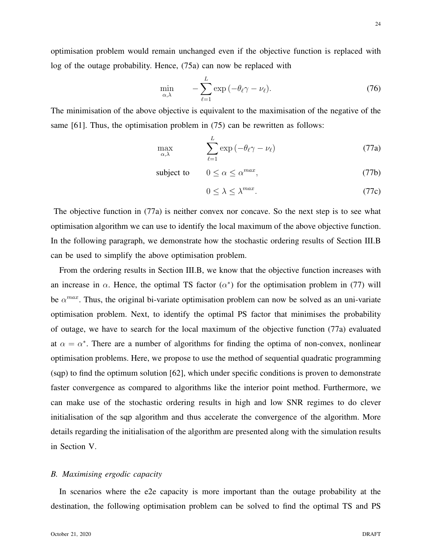24

optimisation problem would remain unchanged even if the objective function is replaced with log of the outage probability. Hence, (75a) can now be replaced with

$$
\min_{\alpha,\lambda} \qquad -\sum_{\ell=1}^{L} \exp\left(-\theta_{\ell}\gamma - \nu_{\ell}\right). \tag{76}
$$

The minimisation of the above objective is equivalent to the maximisation of the negative of the same [61]. Thus, the optimisation problem in (75) can be rewritten as follows:

$$
\max_{\alpha,\lambda} \qquad \sum_{\ell=1}^{L} \exp(-\theta_{\ell}\gamma - \nu_{\ell}) \tag{77a}
$$

subject to  $0 \le \alpha \le \alpha^{max}$ , (77b)

$$
0 \le \lambda \le \lambda^{max}.\tag{77c}
$$

The objective function in (77a) is neither convex nor concave. So the next step is to see what optimisation algorithm we can use to identify the local maximum of the above objective function. In the following paragraph, we demonstrate how the stochastic ordering results of Section III.B can be used to simplify the above optimisation problem.

From the ordering results in Section III.B, we know that the objective function increases with an increase in  $\alpha$ . Hence, the optimal TS factor  $(\alpha^*)$  for the optimisation problem in (77) will be  $\alpha^{max}$ . Thus, the original bi-variate optimisation problem can now be solved as an uni-variate optimisation problem. Next, to identify the optimal PS factor that minimises the probability of outage, we have to search for the local maximum of the objective function (77a) evaluated at  $\alpha = \alpha^*$ . There are a number of algorithms for finding the optima of non-convex, nonlinear optimisation problems. Here, we propose to use the method of sequential quadratic programming (sqp) to find the optimum solution [62], which under specific conditions is proven to demonstrate faster convergence as compared to algorithms like the interior point method. Furthermore, we can make use of the stochastic ordering results in high and low SNR regimes to do clever initialisation of the sqp algorithm and thus accelerate the convergence of the algorithm. More details regarding the initialisation of the algorithm are presented along with the simulation results in Section V.

## *B. Maximising ergodic capacity*

In scenarios where the e2e capacity is more important than the outage probability at the destination, the following optimisation problem can be solved to find the optimal TS and PS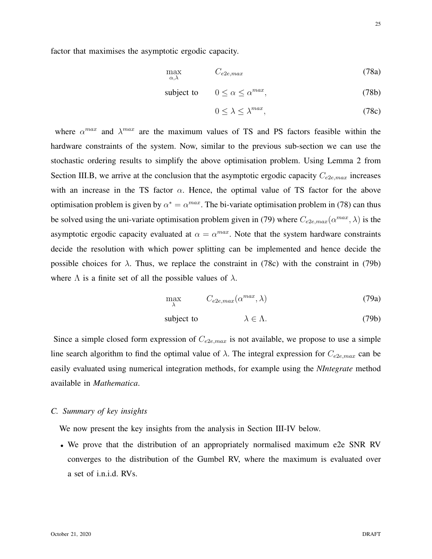factor that maximises the asymptotic ergodic capacity.

$$
\max_{\alpha,\lambda} \qquad C_{e2e,max} \tag{78a}
$$

subject to 
$$
0 \le \alpha \le \alpha^{max}
$$
, (78b)

$$
0 \le \lambda \le \lambda^{max},\tag{78c}
$$

where  $\alpha^{max}$  and  $\lambda^{max}$  are the maximum values of TS and PS factors feasible within the hardware constraints of the system. Now, similar to the previous sub-section we can use the stochastic ordering results to simplify the above optimisation problem. Using Lemma 2 from Section III.B, we arrive at the conclusion that the asymptotic ergodic capacity  $C_{e2e,max}$  increases with an increase in the TS factor  $\alpha$ . Hence, the optimal value of TS factor for the above optimisation problem is given by  $\alpha^* = \alpha^{max}$ . The bi-variate optimisation problem in (78) can thus be solved using the uni-variate optimisation problem given in (79) where  $C_{e2e,max}(\alpha^{max}, \lambda)$  is the asymptotic ergodic capacity evaluated at  $\alpha = \alpha^{max}$ . Note that the system hardware constraints decide the resolution with which power splitting can be implemented and hence decide the possible choices for  $\lambda$ . Thus, we replace the constraint in (78c) with the constraint in (79b) where  $\Lambda$  is a finite set of all the possible values of  $\lambda$ .

$$
\max_{\lambda} \qquad C_{e2e,max}(\alpha^{max}, \lambda) \tag{79a}
$$

subject to 
$$
\lambda \in \Lambda.
$$
 (79b)

Since a simple closed form expression of  $C_{e2e,max}$  is not available, we propose to use a simple line search algorithm to find the optimal value of  $\lambda$ . The integral expression for  $C_{e2e,max}$  can be easily evaluated using numerical integration methods, for example using the *NIntegrate* method available in *Mathematica*.

# *C. Summary of key insights*

We now present the key insights from the analysis in Section III-IV below.

• We prove that the distribution of an appropriately normalised maximum e2e SNR RV converges to the distribution of the Gumbel RV, where the maximum is evaluated over a set of i.n.i.d. RVs.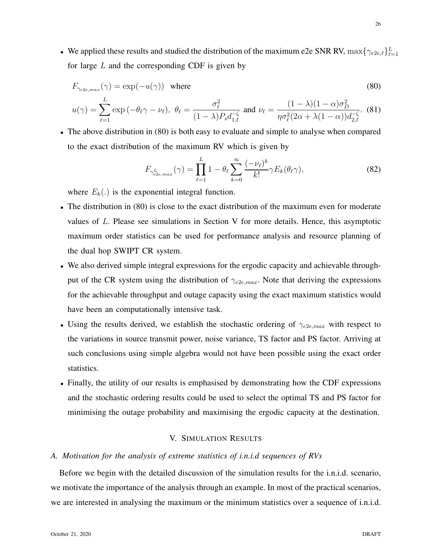• We applied these results and studied the distribution of the maximum e2e SNR RV,  $\max\{\gamma_{e2e,\ell}\}_{\ell=1}^L$ for large  $L$  and the corresponding CDF is given by

$$
F_{\gamma_{e2e,max}}(\gamma) = \exp(-u(\gamma)) \text{ where}
$$
\n
$$
u(\gamma) = \sum_{\ell=1}^{L} \exp(-\theta_{\ell}\gamma - \nu_{\ell}), \ \theta_{\ell} = \frac{\sigma_{\ell}^{2}}{(1-\lambda)P_{s}d_{1,\ell}^{-\zeta}} \text{ and } \nu_{\ell} = \frac{(1-\lambda)(1-\alpha)\sigma_{D}^{2}}{\eta\sigma_{\ell}^{2}(2\alpha + \lambda(1-\alpha))d_{2,\ell}^{-\zeta}}.
$$
\n(80)

• The above distribution in (80) is both easy to evaluate and simple to analyse when compared to the exact distribution of the maximum RV which is given by

$$
F_{\gamma_{e2e,max}^{L}}(\gamma) = \prod_{\ell=1}^{L} 1 - \theta_{\ell} \sum_{k=0}^{\infty} \frac{(-\nu_{\ell})^{k}}{k!} \gamma E_{k}(\theta_{\ell} \gamma), \qquad (82)
$$

where  $E_k(.)$  is the exponential integral function.

- The distribution in (80) is close to the exact distribution of the maximum even for moderate values of L. Please see simulations in Section V for more details. Hence, this asymptotic maximum order statistics can be used for performance analysis and resource planning of the dual hop SWIPT CR system.
- We also derived simple integral expressions for the ergodic capacity and achievable throughput of the CR system using the distribution of  $\gamma_{e2e,max}$ . Note that deriving the expressions for the achievable throughput and outage capacity using the exact maximum statistics would have been an computationally intensive task.
- Using the results derived, we establish the stochastic ordering of  $\gamma_{e2e,max}$  with respect to the variations in source transmit power, noise variance, TS factor and PS factor. Arriving at such conclusions using simple algebra would not have been possible using the exact order statistics.
- Finally, the utility of our results is emphasised by demonstrating how the CDF expressions and the stochastic ordering results could be used to select the optimal TS and PS factor for minimising the outage probability and maximising the ergodic capacity at the destination.

# V. SIMULATION RESULTS

# *A. Motivation for the analysis of extreme statistics of i.n.i.d sequences of RVs*

Before we begin with the detailed discussion of the simulation results for the i.n.i.d. scenario, we motivate the importance of the analysis through an example. In most of the practical scenarios, we are interested in analysing the maximum or the minimum statistics over a sequence of i.n.i.d.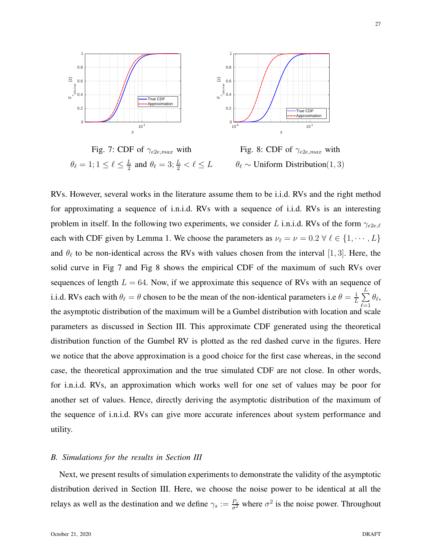

Fig. 7: CDF of  $\gamma_{e2e,max}$  with  $\theta_{\ell}=1; 1\leq \ell \leq \frac{L}{2}$  $\frac{L}{2}$  and  $\theta_{\ell} = 3; \frac{L}{2} < \ell \leq L$ Fig. 8: CDF of  $\gamma_{e2e,max}$  with  $\theta_{\ell} \sim$  Uniform Distribution $(1, 3)$ 

RVs. However, several works in the literature assume them to be i.i.d. RVs and the right method for approximating a sequence of i.n.i.d. RVs with a sequence of i.i.d. RVs is an interesting problem in itself. In the following two experiments, we consider L i.n.i.d. RVs of the form  $\gamma_{e2e,\ell}$ each with CDF given by Lemma 1. We choose the parameters as  $\nu_\ell = \nu = 0.2 \forall \ell \in \{1, \dots, L\}$ and  $\theta_{\ell}$  to be non-identical across the RVs with values chosen from the interval [1, 3]. Here, the solid curve in Fig 7 and Fig 8 shows the empirical CDF of the maximum of such RVs over sequences of length  $L = 64$ . Now, if we approximate this sequence of RVs with an sequence of i.i.d. RVs each with  $\theta_{\ell} = \theta$  chosen to be the mean of the non-identical parameters i.e  $\theta = \frac{1}{L}$  $\frac{1}{L}\sum_{i=1}^L$  $_{\ell=1}$  $\theta_\ell$ , the asymptotic distribution of the maximum will be a Gumbel distribution with location and scale parameters as discussed in Section III. This approximate CDF generated using the theoretical distribution function of the Gumbel RV is plotted as the red dashed curve in the figures. Here we notice that the above approximation is a good choice for the first case whereas, in the second case, the theoretical approximation and the true simulated CDF are not close. In other words, for i.n.i.d. RVs, an approximation which works well for one set of values may be poor for another set of values. Hence, directly deriving the asymptotic distribution of the maximum of the sequence of i.n.i.d. RVs can give more accurate inferences about system performance and utility.

#### *B. Simulations for the results in Section III*

Next, we present results of simulation experiments to demonstrate the validity of the asymptotic distribution derived in Section III. Here, we choose the noise power to be identical at all the relays as well as the destination and we define  $\gamma_s := \frac{P_s}{\sigma^2}$  where  $\sigma^2$  is the noise power. Throughout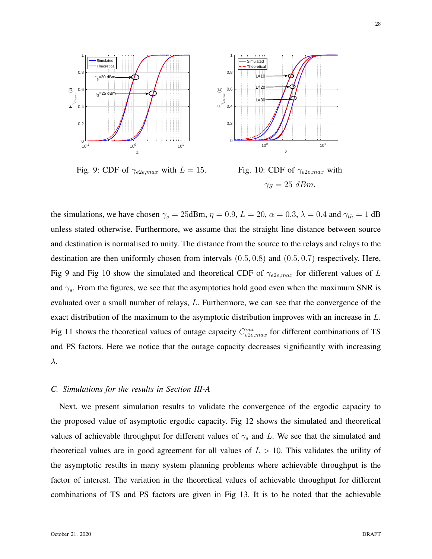

Fig. 9: CDF of  $\gamma_{e2e,max}$  with  $L = 15$ .

Fig. 10: CDF of  $\gamma_{e2e,max}$  with  $\gamma_S = 25$  dBm.

the simulations, we have chosen  $\gamma_s = 25$ dBm,  $\eta = 0.9$ ,  $L = 20$ ,  $\alpha = 0.3$ ,  $\lambda = 0.4$  and  $\gamma_{th} = 1$  dB unless stated otherwise. Furthermore, we assume that the straight line distance between source and destination is normalised to unity. The distance from the source to the relays and relays to the destination are then uniformly chosen from intervals (0.5, 0.8) and (0.5, 0.7) respectively. Here, Fig 9 and Fig 10 show the simulated and theoretical CDF of  $\gamma_{e2e,max}$  for different values of L and  $\gamma_s$ . From the figures, we see that the asymptotics hold good even when the maximum SNR is evaluated over a small number of relays, L. Furthermore, we can see that the convergence of the exact distribution of the maximum to the asymptotic distribution improves with an increase in L. Fig 11 shows the theoretical values of outage capacity  $C_{e2e,max}^{out}$  for different combinations of TS and PS factors. Here we notice that the outage capacity decreases significantly with increasing λ.

#### *C. Simulations for the results in Section III-A*

Next, we present simulation results to validate the convergence of the ergodic capacity to the proposed value of asymptotic ergodic capacity. Fig 12 shows the simulated and theoretical values of achievable throughput for different values of  $\gamma_s$  and L. We see that the simulated and theoretical values are in good agreement for all values of  $L > 10$ . This validates the utility of the asymptotic results in many system planning problems where achievable throughput is the factor of interest. The variation in the theoretical values of achievable throughput for different combinations of TS and PS factors are given in Fig 13. It is to be noted that the achievable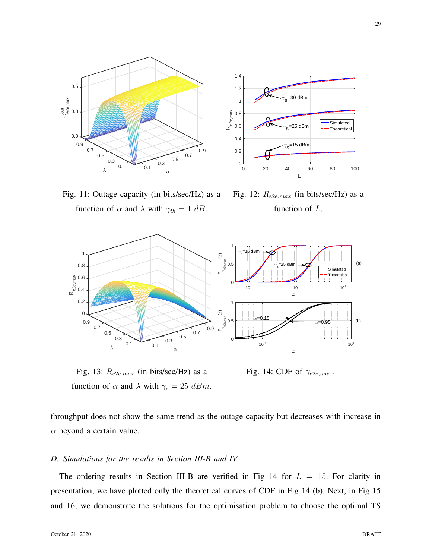



Fig. 11: Outage capacity (in bits/sec/Hz) as a function of  $\alpha$  and  $\lambda$  with  $\gamma_{th} = 1$  dB.

Fig. 12:  $R_{e2e,max}$  (in bits/sec/Hz) as a function of L.



Fig. 13:  $R_{e2e,max}$  (in bits/sec/Hz) as a function of  $\alpha$  and  $\lambda$  with  $\gamma_s = 25$  dBm.

Fig. 14: CDF of  $\gamma_{e2e,max}$ .

throughput does not show the same trend as the outage capacity but decreases with increase in  $\alpha$  beyond a certain value.

# *D. Simulations for the results in Section III-B and IV*

The ordering results in Section III-B are verified in Fig 14 for  $L = 15$ . For clarity in presentation, we have plotted only the theoretical curves of CDF in Fig 14 (b). Next, in Fig 15 and 16, we demonstrate the solutions for the optimisation problem to choose the optimal TS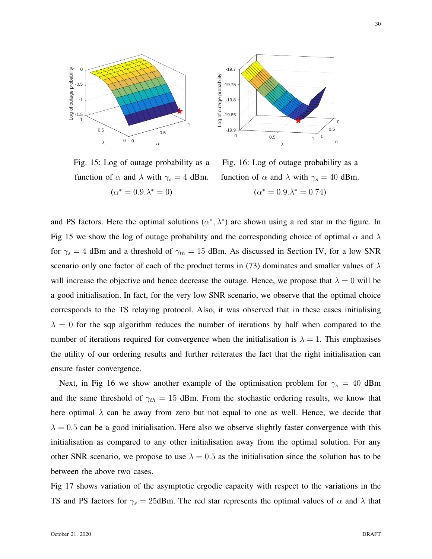



Fig. 15: Log of outage probability as a function of  $\alpha$  and  $\lambda$  with  $\gamma_s = 4$  dBm.  $(\alpha^* = 0.9 \cdot \lambda^* = 0)$ 

Fig. 16: Log of outage probability as a function of  $\alpha$  and  $\lambda$  with  $\gamma_s = 40$  dBm.  $(\alpha^* = 0.9 \cdot \lambda^* = 0.74)$ 

and PS factors. Here the optimal solutions  $(\alpha^*, \lambda^*)$  are shown using a red star in the figure. In Fig 15 we show the log of outage probability and the corresponding choice of optimal  $\alpha$  and  $\lambda$ for  $\gamma_s = 4$  dBm and a threshold of  $\gamma_{th} = 15$  dBm. As discussed in Section IV, for a low SNR scenario only one factor of each of the product terms in (73) dominates and smaller values of  $\lambda$ will increase the objective and hence decrease the outage. Hence, we propose that  $\lambda = 0$  will be a good initialisation. In fact, for the very low SNR scenario, we observe that the optimal choice corresponds to the TS relaying protocol. Also, it was observed that in these cases initialising  $\lambda = 0$  for the sqp algorithm reduces the number of iterations by half when compared to the number of iterations required for convergence when the initialisation is  $\lambda = 1$ . This emphasises the utility of our ordering results and further reiterates the fact that the right initialisation can ensure faster convergence.

Next, in Fig 16 we show another example of the optimisation problem for  $\gamma_s = 40$  dBm and the same threshold of  $\gamma_{th} = 15$  dBm. From the stochastic ordering results, we know that here optimal  $\lambda$  can be away from zero but not equal to one as well. Hence, we decide that  $\lambda = 0.5$  can be a good initialisation. Here also we observe slightly faster convergence with this initialisation as compared to any other initialisation away from the optimal solution. For any other SNR scenario, we propose to use  $\lambda = 0.5$  as the initialisation since the solution has to be between the above two cases.

Fig 17 shows variation of the asymptotic ergodic capacity with respect to the variations in the TS and PS factors for  $\gamma_s = 25$ dBm. The red star represents the optimal values of  $\alpha$  and  $\lambda$  that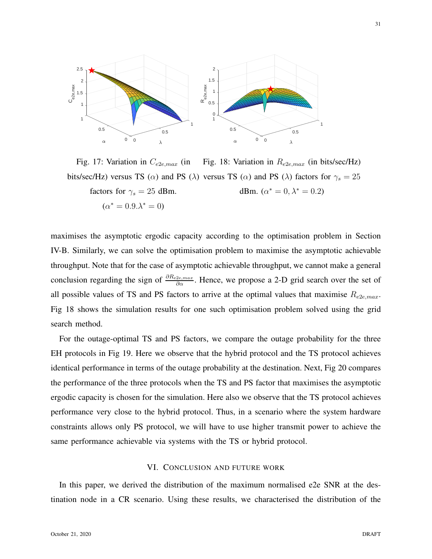

Fig. 17: Variation in  $C_{e2e,max}$  (in bits/sec/Hz) versus TS ( $\alpha$ ) and PS ( $\lambda$ ) versus TS ( $\alpha$ ) and PS ( $\lambda$ ) factors for  $\gamma_s = 25$ factors for  $\gamma_s = 25$  dBm.  $(\alpha^* = 0.9 \cdot \lambda^* = 0)$ Fig. 18: Variation in  $R_{e2e,max}$  (in bits/sec/Hz) dBm.  $(\alpha^* = 0, \lambda^* = 0.2)$ 

maximises the asymptotic ergodic capacity according to the optimisation problem in Section IV-B. Similarly, we can solve the optimisation problem to maximise the asymptotic achievable throughput. Note that for the case of asymptotic achievable throughput, we cannot make a general conclusion regarding the sign of  $\frac{\partial R_{e2e,max}}{\partial \alpha}$ . Hence, we propose a 2-D grid search over the set of all possible values of TS and PS factors to arrive at the optimal values that maximise  $R_{e2e,max}$ . Fig 18 shows the simulation results for one such optimisation problem solved using the grid search method.

For the outage-optimal TS and PS factors, we compare the outage probability for the three EH protocols in Fig 19. Here we observe that the hybrid protocol and the TS protocol achieves identical performance in terms of the outage probability at the destination. Next, Fig 20 compares the performance of the three protocols when the TS and PS factor that maximises the asymptotic ergodic capacity is chosen for the simulation. Here also we observe that the TS protocol achieves performance very close to the hybrid protocol. Thus, in a scenario where the system hardware constraints allows only PS protocol, we will have to use higher transmit power to achieve the same performance achievable via systems with the TS or hybrid protocol.

# VI. CONCLUSION AND FUTURE WORK

In this paper, we derived the distribution of the maximum normalised e2e SNR at the destination node in a CR scenario. Using these results, we characterised the distribution of the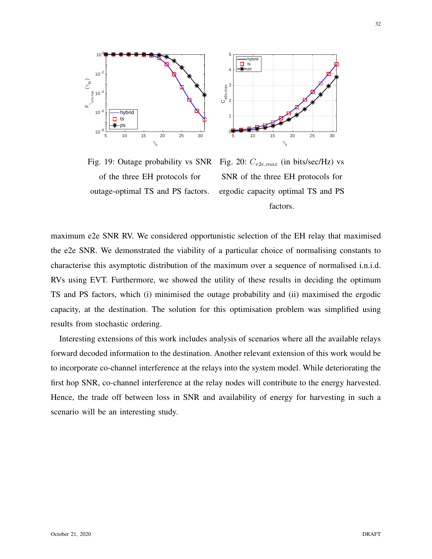

Fig. 19: Outage probability vs SNR of the three EH protocols for outage-optimal TS and PS factors.



Fig. 20:  $C_{e2e,max}$  (in bits/sec/Hz) vs SNR of the three EH protocols for ergodic capacity optimal TS and PS factors.

maximum e2e SNR RV. We considered opportunistic selection of the EH relay that maximised the e2e SNR. We demonstrated the viability of a particular choice of normalising constants to characterise this asymptotic distribution of the maximum over a sequence of normalised i.n.i.d. RVs using EVT. Furthermore, we showed the utility of these results in deciding the optimum TS and PS factors, which (i) minimised the outage probability and (ii) maximised the ergodic capacity, at the destination. The solution for this optimisation problem was simplified using results from stochastic ordering.

Interesting extensions of this work includes analysis of scenarios where all the available relays forward decoded information to the destination. Another relevant extension of this work would be to incorporate co-channel interference at the relays into the system model. While deteriorating the first hop SNR, co-channel interference at the relay nodes will contribute to the energy harvested. Hence, the trade off between loss in SNR and availability of energy for harvesting in such a scenario will be an interesting study.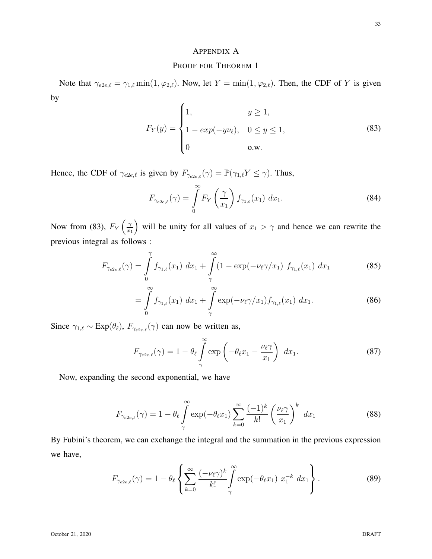# APPENDIX A

## PROOF FOR THEOREM 1

Note that  $\gamma_{e2e,\ell} = \gamma_{1,\ell} \min(1,\varphi_{2,\ell})$ . Now, let  $Y = \min(1,\varphi_{2,\ell})$ . Then, the CDF of Y is given by

$$
F_Y(y) = \begin{cases} 1, & y \ge 1, \\ 1 - exp(-y\nu_{\ell}), & 0 \le y \le 1, \\ 0 & \text{o.w.} \end{cases}
$$
 (83)

Hence, the CDF of  $\gamma_{e2e,\ell}$  is given by  $F_{\gamma_{e2e,\ell}}(\gamma) = \mathbb{P}(\gamma_{1,\ell} Y \le \gamma)$ . Thus,

$$
F_{\gamma_{e2e,\ell}}(\gamma) = \int_{0}^{\infty} F_Y\left(\frac{\gamma}{x_1}\right) f_{\gamma_{1,\ell}}(x_1) dx_1.
$$
 (84)

Now from (83),  $F_Y\left(\frac{\gamma}{x_1}\right)$  $\overline{x_1}$ will be unity for all values of  $x_1 > \gamma$  and hence we can rewrite the previous integral as follows :

$$
F_{\gamma_{e2e,\ell}}(\gamma) = \int_{0}^{\gamma} f_{\gamma_{1,\ell}}(x_1) \, dx_1 + \int_{\gamma}^{\infty} (1 - \exp(-\nu_{\ell}\gamma/x_1) \, f_{\gamma_{1,\ell}}(x_1) \, dx_1 \tag{85}
$$

$$
= \int_{0}^{\infty} f_{\gamma_{1,\ell}}(x_1) \, dx_1 + \int_{\gamma}^{\infty} \exp(-\nu_{\ell} \gamma / x_1) f_{\gamma_{1,\ell}}(x_1) \, dx_1. \tag{86}
$$

Since  $\gamma_{1,\ell} \sim \text{Exp}(\theta_{\ell}), F_{\gamma_{e2e,\ell}}(\gamma)$  can now be written as,

$$
F_{\gamma_{e2e,\ell}}(\gamma) = 1 - \theta_{\ell} \int_{\gamma}^{\infty} \exp\left(-\theta_{\ell}x_1 - \frac{\nu_{\ell}\gamma}{x_1}\right) dx_1.
$$
 (87)

Now, expanding the second exponential, we have

$$
F_{\gamma_{e2e,\ell}}(\gamma) = 1 - \theta_{\ell} \int_{\gamma}^{\infty} \exp(-\theta_{\ell} x_1) \sum_{k=0}^{\infty} \frac{(-1)^k}{k!} \left(\frac{\nu_{\ell} \gamma}{x_1}\right)^k dx_1
$$
 (88)

By Fubini's theorem, we can exchange the integral and the summation in the previous expression we have,

$$
F_{\gamma_{e2e,\ell}}(\gamma) = 1 - \theta_{\ell} \left\{ \sum_{k=0}^{\infty} \frac{(-\nu_{\ell}\gamma)^k}{k!} \int_{\gamma}^{\infty} \exp(-\theta_{\ell}x_1) x_1^{-k} dx_1 \right\}.
$$
 (89)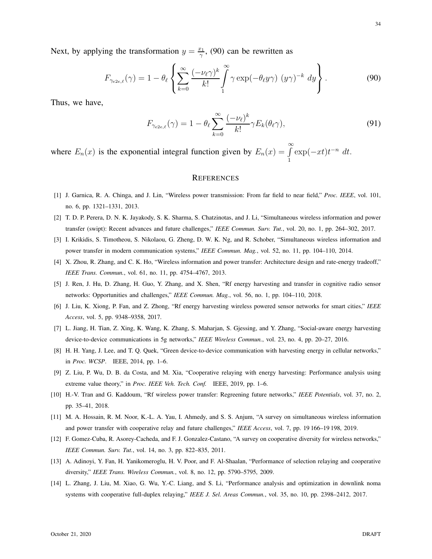Next, by applying the transformation  $y = \frac{x_1}{\gamma}$  $\frac{c_1}{\gamma}$ , (90) can be rewritten as

$$
F_{\gamma_{e2e,\ell}}(\gamma) = 1 - \theta_{\ell} \left\{ \sum_{k=0}^{\infty} \frac{(-\nu_{\ell}\gamma)^k}{k!} \int_{1}^{\infty} \gamma \exp(-\theta_{\ell}y\gamma) (y\gamma)^{-k} dy \right\}.
$$
 (90)

Thus, we have,

$$
F_{\gamma_{e2e,\ell}}(\gamma) = 1 - \theta_{\ell} \sum_{k=0}^{\infty} \frac{(-\nu_{\ell})^k}{k!} \gamma E_k(\theta_{\ell} \gamma), \tag{91}
$$

where  $E_n(x)$  is the exponential integral function given by  $E_n(x) = \int_0^{\infty}$  $\int_{1}^{\infty} \exp(-xt)t^{-n} dt$ .

## **REFERENCES**

- [1] J. Garnica, R. A. Chinga, and J. Lin, "Wireless power transmission: From far field to near field," *Proc. IEEE*, vol. 101, no. 6, pp. 1321–1331, 2013.
- [2] T. D. P. Perera, D. N. K. Jayakody, S. K. Sharma, S. Chatzinotas, and J. Li, "Simultaneous wireless information and power transfer (swipt): Recent advances and future challenges," *IEEE Commun. Surv. Tut.*, vol. 20, no. 1, pp. 264–302, 2017.
- [3] I. Krikidis, S. Timotheou, S. Nikolaou, G. Zheng, D. W. K. Ng, and R. Schober, "Simultaneous wireless information and power transfer in modern communication systems," *IEEE Commun. Mag.*, vol. 52, no. 11, pp. 104–110, 2014.
- [4] X. Zhou, R. Zhang, and C. K. Ho, "Wireless information and power transfer: Architecture design and rate-energy tradeoff," *IEEE Trans. Commun.*, vol. 61, no. 11, pp. 4754–4767, 2013.
- [5] J. Ren, J. Hu, D. Zhang, H. Guo, Y. Zhang, and X. Shen, "Rf energy harvesting and transfer in cognitive radio sensor networks: Opportunities and challenges," *IEEE Commun. Mag.*, vol. 56, no. 1, pp. 104–110, 2018.
- [6] J. Liu, K. Xiong, P. Fan, and Z. Zhong, "Rf energy harvesting wireless powered sensor networks for smart cities," *IEEE Access*, vol. 5, pp. 9348–9358, 2017.
- [7] L. Jiang, H. Tian, Z. Xing, K. Wang, K. Zhang, S. Maharjan, S. Gjessing, and Y. Zhang, "Social-aware energy harvesting device-to-device communications in 5g networks," *IEEE Wireless Commun.*, vol. 23, no. 4, pp. 20–27, 2016.
- [8] H. H. Yang, J. Lee, and T. Q. Quek, "Green device-to-device communication with harvesting energy in cellular networks," in *Proc. WCSP*. IEEE, 2014, pp. 1–6.
- [9] Z. Liu, P. Wu, D. B. da Costa, and M. Xia, "Cooperative relaying with energy harvesting: Performance analysis using extreme value theory," in *Proc. IEEE Veh. Tech. Conf.* IEEE, 2019, pp. 1–6.
- [10] H.-V. Tran and G. Kaddoum, "Rf wireless power transfer: Regreening future networks," *IEEE Potentials*, vol. 37, no. 2, pp. 35–41, 2018.
- [11] M. A. Hossain, R. M. Noor, K.-L. A. Yau, I. Ahmedy, and S. S. Anjum, "A survey on simultaneous wireless information and power transfer with cooperative relay and future challenges," *IEEE Access*, vol. 7, pp. 19 166–19 198, 2019.
- [12] F. Gomez-Cuba, R. Asorey-Cacheda, and F. J. Gonzalez-Castano, "A survey on cooperative diversity for wireless networks," *IEEE Commun. Surv. Tut.*, vol. 14, no. 3, pp. 822–835, 2011.
- [13] A. Adinoyi, Y. Fan, H. Yanikomeroglu, H. V. Poor, and F. Al-Shaalan, "Performance of selection relaying and cooperative diversity," *IEEE Trans. Wireless Commun.*, vol. 8, no. 12, pp. 5790–5795, 2009.
- [14] L. Zhang, J. Liu, M. Xiao, G. Wu, Y.-C. Liang, and S. Li, "Performance analysis and optimization in downlink noma systems with cooperative full-duplex relaying," *IEEE J. Sel. Areas Commun.*, vol. 35, no. 10, pp. 2398–2412, 2017.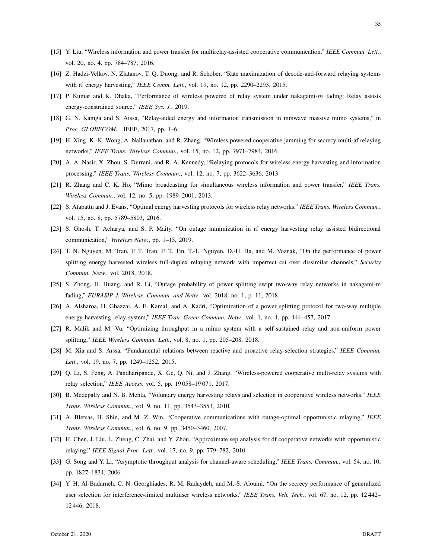- [15] Y. Liu, "Wireless information and power transfer for multirelay-assisted cooperative communication," *IEEE Commun. Lett.*, vol. 20, no. 4, pp. 784–787, 2016.
- [16] Z. Hadzi-Velkov, N. Zlatanov, T. Q. Duong, and R. Schober, "Rate maximization of decode-and-forward relaying systems with rf energy harvesting," *IEEE Comm. Lett.*, vol. 19, no. 12, pp. 2290–2293, 2015.
- [17] P. Kumar and K. Dhaka, "Performance of wireless powered df relay system under nakagami-m fading: Relay assists energy-constrained source," *IEEE Sys. J.*, 2019.
- [18] G. N. Kamga and S. Aissa, "Relay-aided energy and information transmission in mmwave massive mimo systems," in *Proc. GLOBECOM*. IEEE, 2017, pp. 1–6.
- [19] H. Xing, K.-K. Wong, A. Nallanathan, and R. Zhang, "Wireless powered cooperative jamming for secrecy multi-af relaying networks," *IEEE Trans. Wireless Commun.*, vol. 15, no. 12, pp. 7971–7984, 2016.
- [20] A. A. Nasir, X. Zhou, S. Durrani, and R. A. Kennedy, "Relaying protocols for wireless energy harvesting and information processing," *IEEE Trans. Wireless Commun.*, vol. 12, no. 7, pp. 3622–3636, 2013.
- [21] R. Zhang and C. K. Ho, "Mimo broadcasting for simultaneous wireless information and power transfer," *IEEE Trans. Wireless Commun.*, vol. 12, no. 5, pp. 1989–2001, 2013.
- [22] S. Atapattu and J. Evans, "Optimal energy harvesting protocols for wireless relay networks," *IEEE Trans. Wireless Commun.*, vol. 15, no. 8, pp. 5789–5803, 2016.
- [23] S. Ghosh, T. Acharya, and S. P. Maity, "On outage minimization in rf energy harvesting relay assisted bidirectional communication," *Wireless Netw.*, pp. 1–15, 2019.
- [24] T. N. Nguyen, M. Tran, P. T. Tran, P. T. Tin, T.-L. Nguyen, D.-H. Ha, and M. Voznak, "On the performance of power splitting energy harvested wireless full-duplex relaying network with imperfect csi over dissimilar channels," *Security Commun. Netw.*, vol. 2018, 2018.
- [25] S. Zhong, H. Huang, and R. Li, "Outage probability of power splitting swipt two-way relay networks in nakagami-m fading," *EURASIP J. Wireless. Commun. and Netw.*, vol. 2018, no. 1, p. 11, 2018.
- [26] A. Alsharoa, H. Ghazzai, A. E. Kamal, and A. Kadri, "Optimization of a power splitting protocol for two-way multiple energy harvesting relay system," *IEEE Tran. Green Commun. Netw.*, vol. 1, no. 4, pp. 444–457, 2017.
- [27] R. Malik and M. Vu, "Optimizing throughput in a mimo system with a self-sustained relay and non-uniform power splitting," *IEEE Wireless Commun. Lett.*, vol. 8, no. 1, pp. 205–208, 2018.
- [28] M. Xia and S. Aïssa, "Fundamental relations between reactive and proactive relay-selection strategies," *IEEE Commun. Lett.*, vol. 19, no. 7, pp. 1249–1252, 2015.
- [29] Q. Li, S. Feng, A. Pandharipande, X. Ge, Q. Ni, and J. Zhang, "Wireless-powered cooperative multi-relay systems with relay selection," *IEEE Access*, vol. 5, pp. 19 058–19 071, 2017.
- [30] B. Medepally and N. B. Mehta, "Voluntary energy harvesting relays and selection in cooperative wireless networks," *IEEE Trans. Wireless Commun.*, vol. 9, no. 11, pp. 3543–3553, 2010.
- [31] A. Bletsas, H. Shin, and M. Z. Win, "Cooperative communications with outage-optimal opportunistic relaying," *IEEE Trans. Wireless Commun.*, vol. 6, no. 9, pp. 3450–3460, 2007.
- [32] H. Chen, J. Liu, L. Zheng, C. Zhai, and Y. Zhou, "Approximate sep analysis for df cooperative networks with opportunistic relaying," *IEEE Signal Proc. Lett.*, vol. 17, no. 9, pp. 779–782, 2010.
- [33] G. Song and Y. Li, "Asymptotic throughput analysis for channel-aware scheduling," *IEEE Trans. Commun.*, vol. 54, no. 10, pp. 1827–1834, 2006.
- [34] Y. H. Al-Badarneh, C. N. Georghiades, R. M. Radaydeh, and M.-S. Alouini, "On the secrecy performance of generalized user selection for interference-limited multiuser wireless networks," *IEEE Trans. Veh. Tech.*, vol. 67, no. 12, pp. 12 442– 12 446, 2018.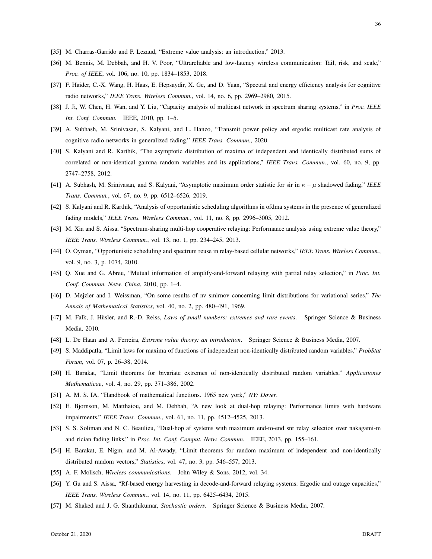- [35] M. Charras-Garrido and P. Lezaud, "Extreme value analysis: an introduction," 2013.
- [36] M. Bennis, M. Debbah, and H. V. Poor, "Ultrareliable and low-latency wireless communication: Tail, risk, and scale," *Proc. of IEEE*, vol. 106, no. 10, pp. 1834–1853, 2018.
- [37] F. Haider, C.-X. Wang, H. Haas, E. Hepsaydir, X. Ge, and D. Yuan, "Spectral and energy efficiency analysis for cognitive radio networks," *IEEE Trans. Wireless Commun.*, vol. 14, no. 6, pp. 2969–2980, 2015.
- [38] J. Ji, W. Chen, H. Wan, and Y. Liu, "Capacity analysis of multicast network in spectrum sharing systems," in *Proc. IEEE Int. Conf. Commun.* IEEE, 2010, pp. 1–5.
- [39] A. Subhash, M. Srinivasan, S. Kalyani, and L. Hanzo, "Transmit power policy and ergodic multicast rate analysis of cognitive radio networks in generalized fading," *IEEE Trans. Commun.*, 2020.
- [40] S. Kalyani and R. Karthik, "The asymptotic distribution of maxima of independent and identically distributed sums of correlated or non-identical gamma random variables and its applications," *IEEE Trans. Commun.*, vol. 60, no. 9, pp. 2747–2758, 2012.
- [41] A. Subhash, M. Srinivasan, and S. Kalyani, "Asymptotic maximum order statistic for sir in κ−µ shadowed fading," *IEEE Trans. Commun.*, vol. 67, no. 9, pp. 6512–6526, 2019.
- [42] S. Kalyani and R. Karthik, "Analysis of opportunistic scheduling algorithms in ofdma systems in the presence of generalized fading models," *IEEE Trans. Wireless Commun.*, vol. 11, no. 8, pp. 2996–3005, 2012.
- [43] M. Xia and S. Aissa, "Spectrum-sharing multi-hop cooperative relaying: Performance analysis using extreme value theory," *IEEE Trans. Wireless Commun.*, vol. 13, no. 1, pp. 234–245, 2013.
- [44] O. Oyman, "Opportunistic scheduling and spectrum reuse in relay-based cellular networks," *IEEE Trans. Wireless Commun.*, vol. 9, no. 3, p. 1074, 2010.
- [45] Q. Xue and G. Abreu, "Mutual information of amplify-and-forward relaying with partial relay selection," in *Proc. Int. Conf. Commun. Netw. China*, 2010, pp. 1–4.
- [46] D. Mejzler and I. Weissman, "On some results of nv smirnov concerning limit distributions for variational series," *The Annals of Mathematical Statistics*, vol. 40, no. 2, pp. 480–491, 1969.
- [47] M. Falk, J. Hüsler, and R.-D. Reiss, *Laws of small numbers: extremes and rare events*. Springer Science & Business Media, 2010.
- [48] L. De Haan and A. Ferreira, *Extreme value theory: an introduction*. Springer Science & Business Media, 2007.
- [49] S. Maddipatla, "Limit laws for maxima of functions of independent non-identically distributed random variables," *ProbStat Forum*, vol. 07, p. 26–38, 2014.
- [50] H. Barakat, "Limit theorems for bivariate extremes of non-identically distributed random variables," *Applicationes Mathematicae*, vol. 4, no. 29, pp. 371–386, 2002.
- [51] A. M. S. IA, "Handbook of mathematical functions. 1965 new york," *NY: Dover*.
- [52] E. Bjornson, M. Matthaiou, and M. Debbah, "A new look at dual-hop relaying: Performance limits with hardware impairments," *IEEE Trans. Commun.*, vol. 61, no. 11, pp. 4512–4525, 2013.
- [53] S. S. Soliman and N. C. Beaulieu, "Dual-hop af systems with maximum end-to-end snr relay selection over nakagami-m and rician fading links," in *Proc. Int. Conf. Comput. Netw. Commun.* IEEE, 2013, pp. 155–161.
- [54] H. Barakat, E. Nigm, and M. Al-Awady, "Limit theorems for random maximum of independent and non-identically distributed random vectors," *Statistics*, vol. 47, no. 3, pp. 546–557, 2013.
- [55] A. F. Molisch, *Wireless communications*. John Wiley & Sons, 2012, vol. 34.
- [56] Y. Gu and S. Aissa, "Rf-based energy harvesting in decode-and-forward relaying systems: Ergodic and outage capacities," *IEEE Trans. Wireless Commun.*, vol. 14, no. 11, pp. 6425–6434, 2015.
- [57] M. Shaked and J. G. Shanthikumar, *Stochastic orders*. Springer Science & Business Media, 2007.